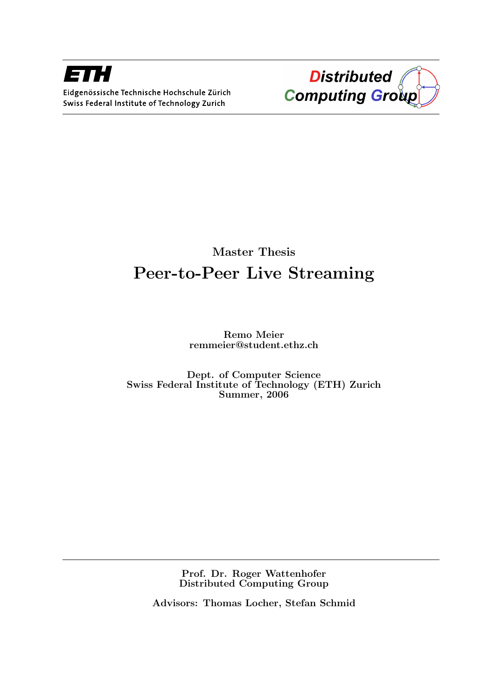



## Master Thesis Peer-to-Peer Live Streaming

Remo Meier remmeier@student.ethz.ch

Dept. of Computer Science Swiss Federal Institute of Technology (ETH) Zurich Summer, 2006

> Prof. Dr. Roger Wattenhofer Distributed Computing Group

Advisors: Thomas Locher, Stefan Schmid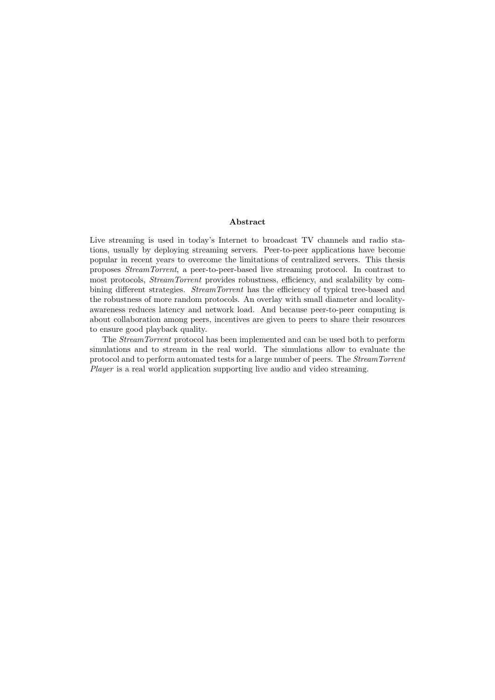#### Abstract

Live streaming is used in today's Internet to broadcast TV channels and radio stations, usually by deploying streaming servers. Peer-to-peer applications have become popular in recent years to overcome the limitations of centralized servers. This thesis proposes StreamTorrent, a peer-to-peer-based live streaming protocol. In contrast to most protocols, StreamTorrent provides robustness, efficiency, and scalability by combining different strategies. StreamTorrent has the efficiency of typical tree-based and the robustness of more random protocols. An overlay with small diameter and localityawareness reduces latency and network load. And because peer-to-peer computing is about collaboration among peers, incentives are given to peers to share their resources to ensure good playback quality.

The StreamTorrent protocol has been implemented and can be used both to perform simulations and to stream in the real world. The simulations allow to evaluate the protocol and to perform automated tests for a large number of peers. The StreamTorrent Player is a real world application supporting live audio and video streaming.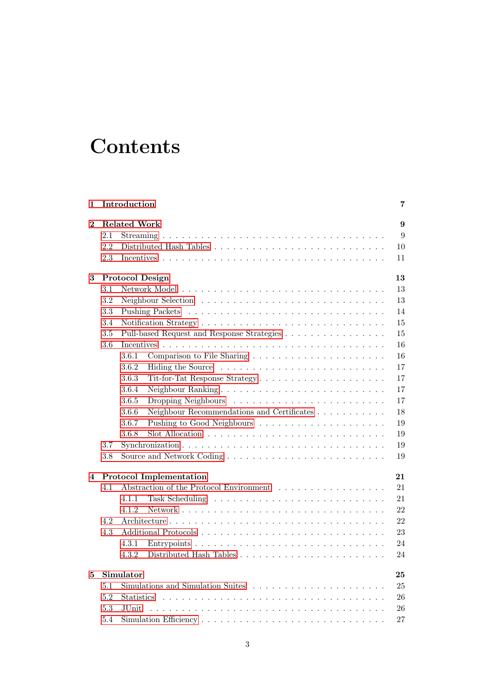# **Contents**

| 1        |                                      | Introduction                                        | 7  |  |  |  |  |  |  |  |  |  |
|----------|--------------------------------------|-----------------------------------------------------|----|--|--|--|--|--|--|--|--|--|
| $\bf{2}$ |                                      | <b>Related Work</b>                                 | 9  |  |  |  |  |  |  |  |  |  |
|          | 2.1                                  |                                                     | 9  |  |  |  |  |  |  |  |  |  |
|          | 2.2                                  |                                                     | 10 |  |  |  |  |  |  |  |  |  |
|          | 2.3                                  |                                                     | 11 |  |  |  |  |  |  |  |  |  |
| 3        |                                      | <b>Protocol Design</b>                              | 13 |  |  |  |  |  |  |  |  |  |
|          | $3.1\,$                              |                                                     | 13 |  |  |  |  |  |  |  |  |  |
|          | 3.2                                  |                                                     | 13 |  |  |  |  |  |  |  |  |  |
|          | 3.3                                  |                                                     | 14 |  |  |  |  |  |  |  |  |  |
|          | 3.4                                  |                                                     | 15 |  |  |  |  |  |  |  |  |  |
|          | 3.5                                  | Pull-based Request and Response Strategies          | 15 |  |  |  |  |  |  |  |  |  |
|          | 3.6                                  |                                                     | 16 |  |  |  |  |  |  |  |  |  |
|          |                                      | 3.6.1                                               | 16 |  |  |  |  |  |  |  |  |  |
|          |                                      | 3.6.2                                               | 17 |  |  |  |  |  |  |  |  |  |
|          |                                      | 3.6.3                                               | 17 |  |  |  |  |  |  |  |  |  |
|          |                                      | 3.6.4                                               | 17 |  |  |  |  |  |  |  |  |  |
|          |                                      | 3.6.5                                               | 17 |  |  |  |  |  |  |  |  |  |
|          |                                      | 3.6.6<br>Neighbour Recommendations and Certificates | 18 |  |  |  |  |  |  |  |  |  |
|          |                                      | 3.6.7                                               | 19 |  |  |  |  |  |  |  |  |  |
|          |                                      | 3.6.8                                               | 19 |  |  |  |  |  |  |  |  |  |
|          | 3.7                                  |                                                     | 19 |  |  |  |  |  |  |  |  |  |
|          | $3.8\,$                              |                                                     | 19 |  |  |  |  |  |  |  |  |  |
| 4        | 21<br><b>Protocol Implementation</b> |                                                     |    |  |  |  |  |  |  |  |  |  |
|          | 4.1                                  | Abstraction of the Protocol Environment             | 21 |  |  |  |  |  |  |  |  |  |
|          |                                      | 4.1.1                                               | 21 |  |  |  |  |  |  |  |  |  |
|          |                                      | 4.1.2                                               | 22 |  |  |  |  |  |  |  |  |  |
| 5        | 4.2                                  |                                                     | 22 |  |  |  |  |  |  |  |  |  |
|          | 4.3                                  |                                                     | 23 |  |  |  |  |  |  |  |  |  |
|          |                                      | 4.3.1                                               | 24 |  |  |  |  |  |  |  |  |  |
|          |                                      | 4.3.2                                               | 24 |  |  |  |  |  |  |  |  |  |
|          |                                      | Simulator                                           | 25 |  |  |  |  |  |  |  |  |  |
|          | 5.1                                  |                                                     | 25 |  |  |  |  |  |  |  |  |  |
|          | 5.2                                  | <b>Statistics</b>                                   | 26 |  |  |  |  |  |  |  |  |  |
|          | 5.3                                  | JUnit.                                              | 26 |  |  |  |  |  |  |  |  |  |
|          | 5.4                                  |                                                     | 27 |  |  |  |  |  |  |  |  |  |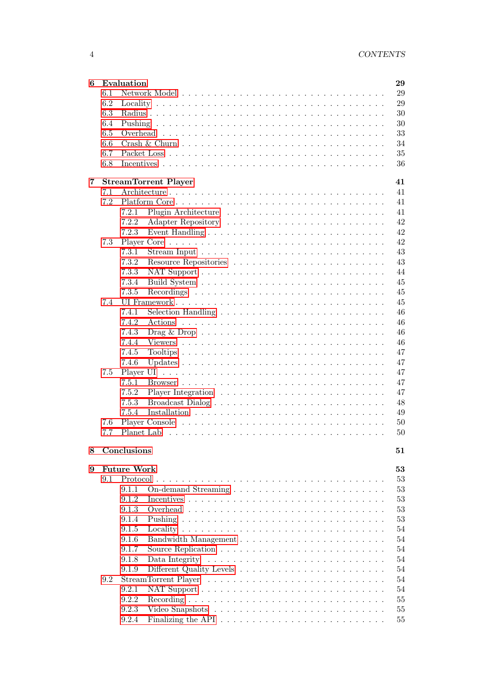| 6 |     | Evaluation         |                                                                                     | 29     |
|---|-----|--------------------|-------------------------------------------------------------------------------------|--------|
|   | 6.1 |                    |                                                                                     | 29     |
|   | 6.2 |                    |                                                                                     | 29     |
|   | 6.3 |                    |                                                                                     | 30     |
|   | 6.4 |                    |                                                                                     | 30     |
|   | 6.5 |                    |                                                                                     | 33     |
|   | 6.6 |                    |                                                                                     | 34     |
|   | 6.7 |                    |                                                                                     | 35     |
|   | 6.8 |                    |                                                                                     | 36     |
| 7 |     |                    | <b>StreamTorrent Player</b>                                                         | 41     |
|   | 7.1 |                    |                                                                                     | 41     |
|   | 7.2 |                    |                                                                                     | 41     |
|   |     | 7.2.1              |                                                                                     | 41     |
|   |     | 7.2.2              |                                                                                     | 42     |
|   |     | 7.2.3              |                                                                                     | 42     |
|   | 7.3 |                    |                                                                                     | 42     |
|   |     | 7.3.1              |                                                                                     | 43     |
|   |     | 7.3.2              |                                                                                     | 43     |
|   |     | 7.3.3              |                                                                                     | 44     |
|   |     | 7.3.4              |                                                                                     | 45     |
|   |     | 7.3.5              |                                                                                     | 45     |
|   |     |                    |                                                                                     |        |
|   | 7.4 |                    |                                                                                     | 45     |
|   |     | 7.4.1              |                                                                                     | 46     |
|   |     | 7.4.2              |                                                                                     | 46     |
|   |     | 7.4.3              | Drag & Drop $\ldots \ldots \ldots \ldots \ldots \ldots \ldots \ldots \ldots \ldots$ | 46     |
|   |     | 7.4.4              |                                                                                     | 46     |
|   |     | 7.4.5              |                                                                                     | 47     |
|   |     | 7.4.6              |                                                                                     | 47     |
|   | 7.5 |                    |                                                                                     | 47     |
|   |     | 7.5.1              |                                                                                     | 47     |
|   |     | 7.5.2              |                                                                                     | 47     |
|   |     | 7.5.3              |                                                                                     | 48     |
|   |     | 7.5.4              |                                                                                     | 49     |
|   | 7.6 |                    |                                                                                     | 50     |
|   | 7.7 |                    |                                                                                     | 50     |
| 8 |     | Conclusions        |                                                                                     | 51     |
| 9 |     | <b>Future Work</b> |                                                                                     | 53     |
|   | 9.1 |                    |                                                                                     | $53\,$ |
|   |     | 9.1.1              |                                                                                     | $53\,$ |
|   |     | 9.1.2              |                                                                                     | $53\,$ |
|   |     | 9.1.3              |                                                                                     | $53\,$ |
|   |     | 9.1.4              |                                                                                     | $53\,$ |
|   |     | 9.1.5              |                                                                                     | 54     |
|   |     | 9.1.6              |                                                                                     | 54     |
|   |     | 9.1.7              |                                                                                     | 54     |
|   |     | 9.1.8              |                                                                                     | 54     |
|   |     | 9.1.9              |                                                                                     | 54     |
|   | 9.2 |                    |                                                                                     | 54     |
|   |     | 9.2.1              |                                                                                     | 54     |
|   |     | 9.2.2              |                                                                                     | 55     |
|   |     | 9.2.3              |                                                                                     | 55     |
|   |     | 9.2.4              |                                                                                     | 55     |
|   |     |                    |                                                                                     |        |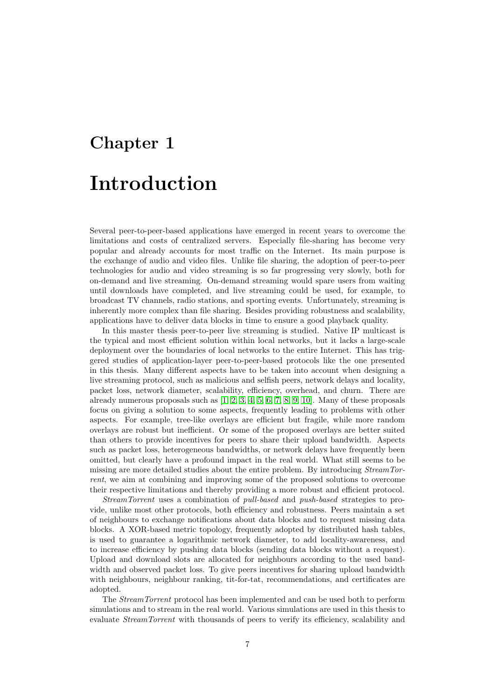# <span id="page-8-0"></span>Chapter 1 Introduction

Several peer-to-peer-based applications have emerged in recent years to overcome the limitations and costs of centralized servers. Especially file-sharing has become very popular and already accounts for most traffic on the Internet. Its main purpose is the exchange of audio and video files. Unlike file sharing, the adoption of peer-to-peer technologies for audio and video streaming is so far progressing very slowly, both for on-demand and live streaming. On-demand streaming would spare users from waiting until downloads have completed, and live streaming could be used, for example, to broadcast TV channels, radio stations, and sporting events. Unfortunately, streaming is inherently more complex than file sharing. Besides providing robustness and scalability, applications have to deliver data blocks in time to ensure a good playback quality.

In this master thesis peer-to-peer live streaming is studied. Native IP multicast is the typical and most efficient solution within local networks, but it lacks a large-scale deployment over the boundaries of local networks to the entire Internet. This has triggered studies of application-layer peer-to-peer-based protocols like the one presented in this thesis. Many different aspects have to be taken into account when designing a live streaming protocol, such as malicious and selfish peers, network delays and locality, packet loss, network diameter, scalability, efficiency, overhead, and churn. There are already numerous proposals such as  $[1, 2, 3, 4, 5, 6, 7, 8, 9, 10]$  $[1, 2, 3, 4, 5, 6, 7, 8, 9, 10]$  $[1, 2, 3, 4, 5, 6, 7, 8, 9, 10]$  $[1, 2, 3, 4, 5, 6, 7, 8, 9, 10]$  $[1, 2, 3, 4, 5, 6, 7, 8, 9, 10]$  $[1, 2, 3, 4, 5, 6, 7, 8, 9, 10]$  $[1, 2, 3, 4, 5, 6, 7, 8, 9, 10]$  $[1, 2, 3, 4, 5, 6, 7, 8, 9, 10]$  $[1, 2, 3, 4, 5, 6, 7, 8, 9, 10]$  $[1, 2, 3, 4, 5, 6, 7, 8, 9, 10]$ . Many of these proposals focus on giving a solution to some aspects, frequently leading to problems with other aspects. For example, tree-like overlays are efficient but fragile, while more random overlays are robust but inefficient. Or some of the proposed overlays are better suited than others to provide incentives for peers to share their upload bandwidth. Aspects such as packet loss, heterogeneous bandwidths, or network delays have frequently been omitted, but clearly have a profound impact in the real world. What still seems to be missing are more detailed studies about the entire problem. By introducing StreamTorrent, we aim at combining and improving some of the proposed solutions to overcome their respective limitations and thereby providing a more robust and efficient protocol.

StreamTorrent uses a combination of pull-based and push-based strategies to provide, unlike most other protocols, both efficiency and robustness. Peers maintain a set of neighbours to exchange notifications about data blocks and to request missing data blocks. A XOR-based metric topology, frequently adopted by distributed hash tables, is used to guarantee a logarithmic network diameter, to add locality-awareness, and to increase efficiency by pushing data blocks (sending data blocks without a request). Upload and download slots are allocated for neighbours according to the used bandwidth and observed packet loss. To give peers incentives for sharing upload bandwidth with neighbours, neighbour ranking, tit-for-tat, recommendations, and certificates are adopted.

The StreamTorrent protocol has been implemented and can be used both to perform simulations and to stream in the real world. Various simulations are used in this thesis to evaluate StreamTorrent with thousands of peers to verify its efficiency, scalability and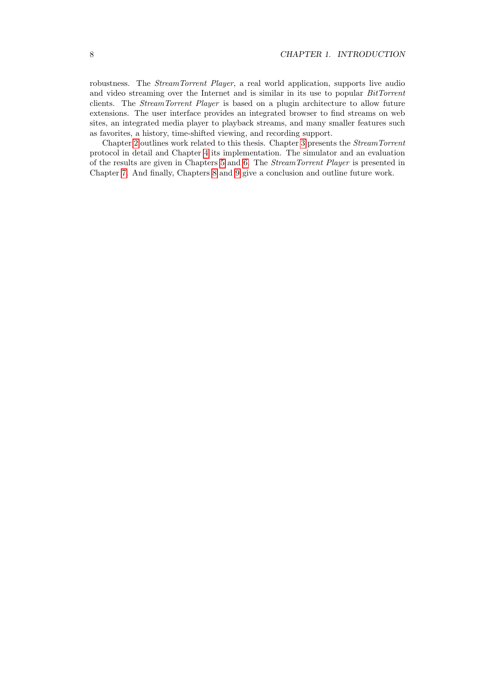robustness. The *StreamTorrent Player*, a real world application, supports live audio and video streaming over the Internet and is similar in its use to popular BitTorrent clients. The StreamTorrent Player is based on a plugin architecture to allow future extensions. The user interface provides an integrated browser to find streams on web sites, an integrated media player to playback streams, and many smaller features such as favorites, a history, time-shifted viewing, and recording support.

Chapter [2](#page-10-0) outlines work related to this thesis. Chapter [3](#page-14-0) presents the StreamTorrent protocol in detail and Chapter [4](#page-22-0) its implementation. The simulator and an evaluation of the results are given in Chapters [5](#page-26-0) and [6.](#page-30-0) The StreamTorrent Player is presented in Chapter [7.](#page-42-0) And finally, Chapters [8](#page-52-0) and [9](#page-54-0) give a conclusion and outline future work.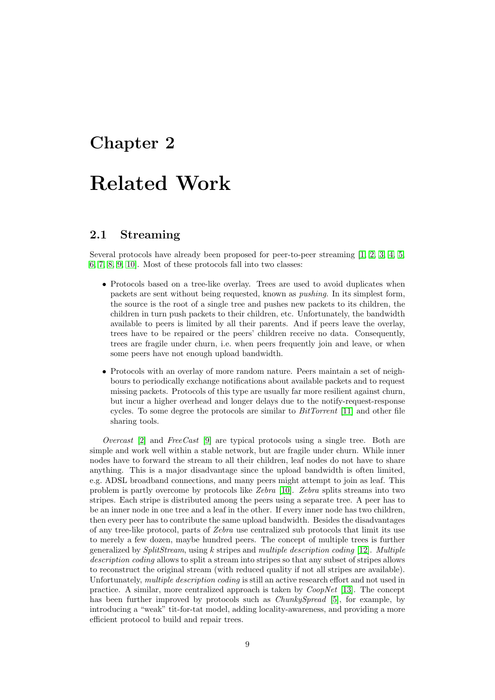## <span id="page-10-0"></span>Chapter 2

# Related Work

## <span id="page-10-1"></span>2.1 Streaming

Several protocols have already been proposed for peer-to-peer streaming [\[1,](#page-58-0) [2,](#page-58-1) [3,](#page-58-2) [4,](#page-58-3) [5,](#page-58-4) [6,](#page-58-5) [7,](#page-58-6) [8,](#page-58-7) [9,](#page-58-8) [10\]](#page-58-9). Most of these protocols fall into two classes:

- Protocols based on a tree-like overlay. Trees are used to avoid duplicates when packets are sent without being requested, known as pushing. In its simplest form, the source is the root of a single tree and pushes new packets to its children, the children in turn push packets to their children, etc. Unfortunately, the bandwidth available to peers is limited by all their parents. And if peers leave the overlay, trees have to be repaired or the peers' children receive no data. Consequently, trees are fragile under churn, i.e. when peers frequently join and leave, or when some peers have not enough upload bandwidth.
- Protocols with an overlay of more random nature. Peers maintain a set of neighbours to periodically exchange notifications about available packets and to request missing packets. Protocols of this type are usually far more resilient against churn, but incur a higher overhead and longer delays due to the notify-request-response cycles. To some degree the protocols are similar to  $BitTorrent$  [\[11\]](#page-58-10) and other file sharing tools.

Overcast  $[2]$  and FreeCast  $[9]$  are typical protocols using a single tree. Both are simple and work well within a stable network, but are fragile under churn. While inner nodes have to forward the stream to all their children, leaf nodes do not have to share anything. This is a major disadvantage since the upload bandwidth is often limited, e.g. ADSL broadband connections, and many peers might attempt to join as leaf. This problem is partly overcome by protocols like Zebra [\[10\]](#page-58-9). Zebra splits streams into two stripes. Each stripe is distributed among the peers using a separate tree. A peer has to be an inner node in one tree and a leaf in the other. If every inner node has two children, then every peer has to contribute the same upload bandwidth. Besides the disadvantages of any tree-like protocol, parts of Zebra use centralized sub protocols that limit its use to merely a few dozen, maybe hundred peers. The concept of multiple trees is further generalized by  $SplitStream$ , using k stripes and multiple description coding [\[12\]](#page-58-11). Multiple description coding allows to split a stream into stripes so that any subset of stripes allows to reconstruct the original stream (with reduced quality if not all stripes are available). Unfortunately, multiple description coding is still an active research effort and not used in practice. A similar, more centralized approach is taken by  $CoopNet$  [\[13\]](#page-58-12). The concept has been further improved by protocols such as *ChunkySpread* [\[5\]](#page-58-4), for example, by introducing a "weak" tit-for-tat model, adding locality-awareness, and providing a more efficient protocol to build and repair trees.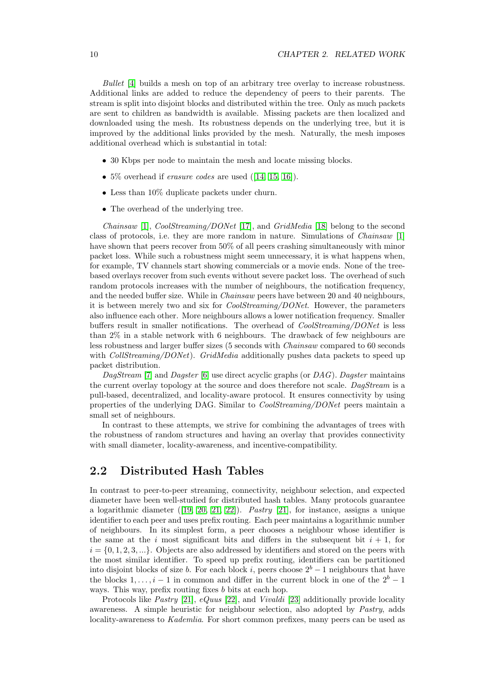Bullet [\[4\]](#page-58-3) builds a mesh on top of an arbitrary tree overlay to increase robustness. Additional links are added to reduce the dependency of peers to their parents. The stream is split into disjoint blocks and distributed within the tree. Only as much packets are sent to children as bandwidth is available. Missing packets are then localized and downloaded using the mesh. Its robustness depends on the underlying tree, but it is improved by the additional links provided by the mesh. Naturally, the mesh imposes additional overhead which is substantial in total:

- 30 Kbps per node to maintain the mesh and locate missing blocks.
- $5\%$  overhead if *erasure codes* are used  $([14, 15, 16])$  $([14, 15, 16])$  $([14, 15, 16])$  $([14, 15, 16])$  $([14, 15, 16])$ .
- Less than 10% duplicate packets under churn.
- The overhead of the underlying tree.

Chainsaw [\[1\]](#page-58-0), CoolStreaming/DONet [\[17\]](#page-59-2), and GridMedia [\[18\]](#page-59-3) belong to the second class of protocols, i.e. they are more random in nature. Simulations of Chainsaw [\[1\]](#page-58-0) have shown that peers recover from 50% of all peers crashing simultaneously with minor packet loss. While such a robustness might seem unnecessary, it is what happens when, for example, TV channels start showing commercials or a movie ends. None of the treebased overlays recover from such events without severe packet loss. The overhead of such random protocols increases with the number of neighbours, the notification frequency, and the needed buffer size. While in Chainsaw peers have between 20 and 40 neighbours, it is between merely two and six for CoolStreaming/DONet. However, the parameters also influence each other. More neighbours allows a lower notification frequency. Smaller buffers result in smaller notifications. The overhead of *CoolStreaming/DONet* is less than 2% in a stable network with 6 neighbours. The drawback of few neighbours are less robustness and larger buffer sizes (5 seconds with Chainsaw compared to 60 seconds with CollStreaming/DONet). GridMedia additionally pushes data packets to speed up packet distribution.

 $DaqStream$  [\[7\]](#page-58-6) and *Dagster* [\[6\]](#page-58-5) use direct acyclic graphs (or *DAG*). *Dagster* maintains the current overlay topology at the source and does therefore not scale. DagStream is a pull-based, decentralized, and locality-aware protocol. It ensures connectivity by using properties of the underlying DAG. Similar to CoolStreaming/DONet peers maintain a small set of neighbours.

In contrast to these attempts, we strive for combining the advantages of trees with the robustness of random structures and having an overlay that provides connectivity with small diameter, locality-awareness, and incentive-compatibility.

## <span id="page-11-0"></span>2.2 Distributed Hash Tables

In contrast to peer-to-peer streaming, connectivity, neighbour selection, and expected diameter have been well-studied for distributed hash tables. Many protocols guarantee a logarithmic diameter  $(19, 20, 21, 22)$  $(19, 20, 21, 22)$  $(19, 20, 21, 22)$  $(19, 20, 21, 22)$ . Pastry [\[21\]](#page-59-6), for instance, assigns a unique identifier to each peer and uses prefix routing. Each peer maintains a logarithmic number of neighbours. In its simplest form, a peer chooses a neighbour whose identifier is the same at the i most significant bits and differs in the subsequent bit  $i + 1$ , for  $i = \{0, 1, 2, 3, ...\}$ . Objects are also addressed by identifiers and stored on the peers with the most similar identifier. To speed up prefix routing, identifiers can be partitioned into disjoint blocks of size b. For each block i, peers choose  $2<sup>b</sup> - 1$  neighbours that have the blocks 1, ...,  $i-1$  in common and differ in the current block in one of the  $2^b-1$ ways. This way, prefix routing fixes b bits at each hop.

Protocols like Pastry [\[21\]](#page-59-6), eQuus [\[22\]](#page-59-7), and Vivaldi [\[23\]](#page-59-8) additionally provide locality awareness. A simple heuristic for neighbour selection, also adopted by Pastry, adds locality-awareness to Kademlia. For short common prefixes, many peers can be used as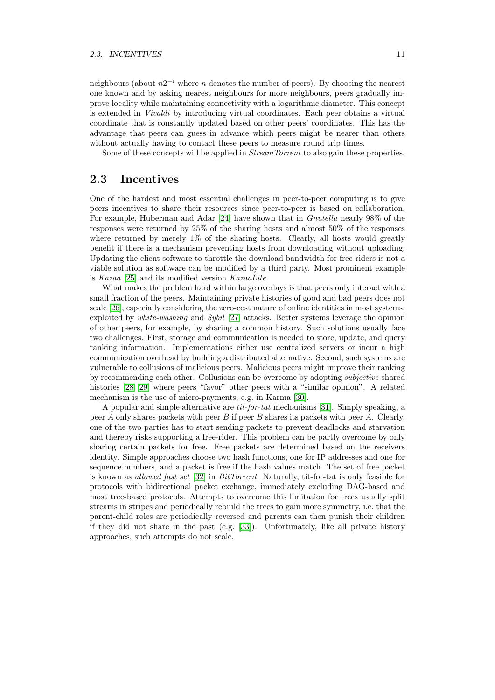neighbours (about  $n2^{-i}$  where n denotes the number of peers). By choosing the nearest one known and by asking nearest neighbours for more neighbours, peers gradually improve locality while maintaining connectivity with a logarithmic diameter. This concept is extended in Vivaldi by introducing virtual coordinates. Each peer obtains a virtual coordinate that is constantly updated based on other peers' coordinates. This has the advantage that peers can guess in advance which peers might be nearer than others without actually having to contact these peers to measure round trip times.

Some of these concepts will be applied in *StreamTorrent* to also gain these properties.

## <span id="page-12-0"></span>2.3 Incentives

One of the hardest and most essential challenges in peer-to-peer computing is to give peers incentives to share their resources since peer-to-peer is based on collaboration. For example, Huberman and Adar [\[24\]](#page-59-9) have shown that in Gnutella nearly 98% of the responses were returned by 25% of the sharing hosts and almost 50% of the responses where returned by merely 1% of the sharing hosts. Clearly, all hosts would greatly benefit if there is a mechanism preventing hosts from downloading without uploading. Updating the client software to throttle the download bandwidth for free-riders is not a viable solution as software can be modified by a third party. Most prominent example is Kazaa [\[25\]](#page-59-10) and its modified version KazaaLite.

What makes the problem hard within large overlays is that peers only interact with a small fraction of the peers. Maintaining private histories of good and bad peers does not scale [\[26\]](#page-59-11), especially considering the zero-cost nature of online identities in most systems, exploited by white-washing and Sybil [\[27\]](#page-59-12) attacks. Better systems leverage the opinion of other peers, for example, by sharing a common history. Such solutions usually face two challenges. First, storage and communication is needed to store, update, and query ranking information. Implementations either use centralized servers or incur a high communication overhead by building a distributed alternative. Second, such systems are vulnerable to collusions of malicious peers. Malicious peers might improve their ranking by recommending each other. Collusions can be overcome by adopting subjective shared histories [\[28,](#page-59-13) [29\]](#page-59-14) where peers "favor" other peers with a "similar opinion". A related mechanism is the use of micro-payments, e.g. in Karma [\[30\]](#page-59-15).

A popular and simple alternative are tit-for-tat mechanisms [\[31\]](#page-59-16). Simply speaking, a peer A only shares packets with peer B if peer B shares its packets with peer A. Clearly, one of the two parties has to start sending packets to prevent deadlocks and starvation and thereby risks supporting a free-rider. This problem can be partly overcome by only sharing certain packets for free. Free packets are determined based on the receivers identity. Simple approaches choose two hash functions, one for IP addresses and one for sequence numbers, and a packet is free if the hash values match. The set of free packet is known as allowed fast set [\[32\]](#page-59-17) in BitTorrent. Naturally, tit-for-tat is only feasible for protocols with bidirectional packet exchange, immediately excluding DAG-based and most tree-based protocols. Attempts to overcome this limitation for trees usually split streams in stripes and periodically rebuild the trees to gain more symmetry, i.e. that the parent-child roles are periodically reversed and parents can then punish their children if they did not share in the past (e.g. [\[33\]](#page-60-0)). Unfortunately, like all private history approaches, such attempts do not scale.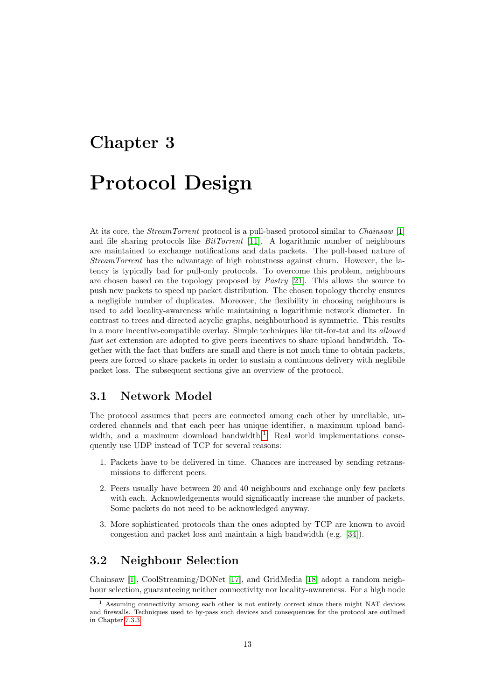## <span id="page-14-0"></span>Chapter 3

## Protocol Design

At its core, the *StreamTorrent* protocol is a pull-based protocol similar to *Chainsaw* [\[1\]](#page-58-0) and file sharing protocols like  $BitTorrent$  [\[11\]](#page-58-10). A logarithmic number of neighbours are maintained to exchange notifications and data packets. The pull-based nature of StreamTorrent has the advantage of high robustness against churn. However, the latency is typically bad for pull-only protocols. To overcome this problem, neighbours are chosen based on the topology proposed by Pastry [\[21\]](#page-59-6). This allows the source to push new packets to speed up packet distribution. The chosen topology thereby ensures a negligible number of duplicates. Moreover, the flexibility in choosing neighbours is used to add locality-awareness while maintaining a logarithmic network diameter. In contrast to trees and directed acyclic graphs, neighbourhood is symmetric. This results in a more incentive-compatible overlay. Simple techniques like tit-for-tat and its allowed fast set extension are adopted to give peers incentives to share upload bandwidth. Together with the fact that buffers are small and there is not much time to obtain packets, peers are forced to share packets in order to sustain a continuous delivery with neglibile packet loss. The subsequent sections give an overview of the protocol.

### <span id="page-14-1"></span>3.1 Network Model

The protocol assumes that peers are connected among each other by unreliable, unordered channels and that each peer has unique identifier, a maximum upload band-width, and a maximum download bandwidth.<sup>[1](#page-14-3)</sup> Real world implementations consequently use UDP instead of TCP for several reasons:

- 1. Packets have to be delivered in time. Chances are increased by sending retransmissions to different peers.
- 2. Peers usually have between 20 and 40 neighbours and exchange only few packets with each. Acknowledgements would significantly increase the number of packets. Some packets do not need to be acknowledged anyway.
- 3. More sophisticated protocols than the ones adopted by TCP are known to avoid congestion and packet loss and maintain a high bandwidth (e.g. [\[34\]](#page-60-1)).

## <span id="page-14-2"></span>3.2 Neighbour Selection

Chainsaw [\[1\]](#page-58-0), CoolStreaming/DONet [\[17\]](#page-59-2), and GridMedia [\[18\]](#page-59-3) adopt a random neighbour selection, guaranteeing neither connectivity nor locality-awareness. For a high node

<span id="page-14-3"></span><sup>1</sup> Assuming connectivity among each other is not entirely correct since there might NAT devices and firewalls. Techniques used to by-pass such devices and consequences for the protocol are outlined in Chapter [7.3.3.](#page-45-0)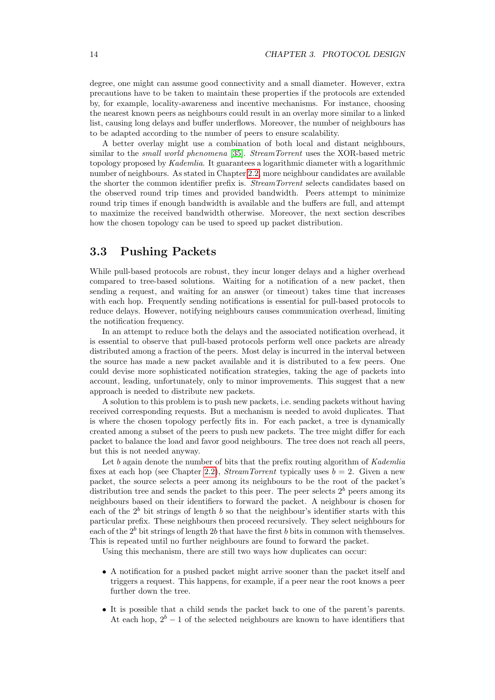degree, one might can assume good connectivity and a small diameter. However, extra precautions have to be taken to maintain these properties if the protocols are extended by, for example, locality-awareness and incentive mechanisms. For instance, choosing the nearest known peers as neighbours could result in an overlay more similar to a linked list, causing long delays and buffer underflows. Moreover, the number of neighbours has to be adapted according to the number of peers to ensure scalability.

A better overlay might use a combination of both local and distant neighbours, similar to the small world phenomena [\[35\]](#page-60-2). StreamTorrent uses the XOR-based metric topology proposed by Kademlia. It guarantees a logarithmic diameter with a logarithmic number of neighbours. As stated in Chapter [2.2,](#page-11-0) more neighbour candidates are available the shorter the common identifier prefix is. StreamTorrent selects candidates based on the observed round trip times and provided bandwidth. Peers attempt to minimize round trip times if enough bandwidth is available and the buffers are full, and attempt to maximize the received bandwidth otherwise. Moreover, the next section describes how the chosen topology can be used to speed up packet distribution.

## <span id="page-15-0"></span>3.3 Pushing Packets

While pull-based protocols are robust, they incur longer delays and a higher overhead compared to tree-based solutions. Waiting for a notification of a new packet, then sending a request, and waiting for an answer (or timeout) takes time that increases with each hop. Frequently sending notifications is essential for pull-based protocols to reduce delays. However, notifying neighbours causes communication overhead, limiting the notification frequency.

In an attempt to reduce both the delays and the associated notification overhead, it is essential to observe that pull-based protocols perform well once packets are already distributed among a fraction of the peers. Most delay is incurred in the interval between the source has made a new packet available and it is distributed to a few peers. One could devise more sophisticated notification strategies, taking the age of packets into account, leading, unfortunately, only to minor improvements. This suggest that a new approach is needed to distribute new packets.

A solution to this problem is to push new packets, i.e. sending packets without having received corresponding requests. But a mechanism is needed to avoid duplicates. That is where the chosen topology perfectly fits in. For each packet, a tree is dynamically created among a subset of the peers to push new packets. The tree might differ for each packet to balance the load and favor good neighbours. The tree does not reach all peers, but this is not needed anyway.

Let b again denote the number of bits that the prefix routing algorithm of  $Kademlia$ fixes at each hop (see Chapter [2.2\)](#page-11-0), *StreamTorrent* typically uses  $b = 2$ . Given a new packet, the source selects a peer among its neighbours to be the root of the packet's distribution tree and sends the packet to this peer. The peer selects  $2<sup>b</sup>$  peers among its neighbours based on their identifiers to forward the packet. A neighbour is chosen for each of the  $2<sup>b</sup>$  bit strings of length b so that the neighbour's identifier starts with this particular prefix. These neighbours then proceed recursively. They select neighbours for each of the  $2<sup>b</sup>$  bit strings of length 2b that have the first b bits in common with themselves. This is repeated until no further neighbours are found to forward the packet.

Using this mechanism, there are still two ways how duplicates can occur:

- A notification for a pushed packet might arrive sooner than the packet itself and triggers a request. This happens, for example, if a peer near the root knows a peer further down the tree.
- It is possible that a child sends the packet back to one of the parent's parents. At each hop,  $2^b - 1$  of the selected neighbours are known to have identifiers that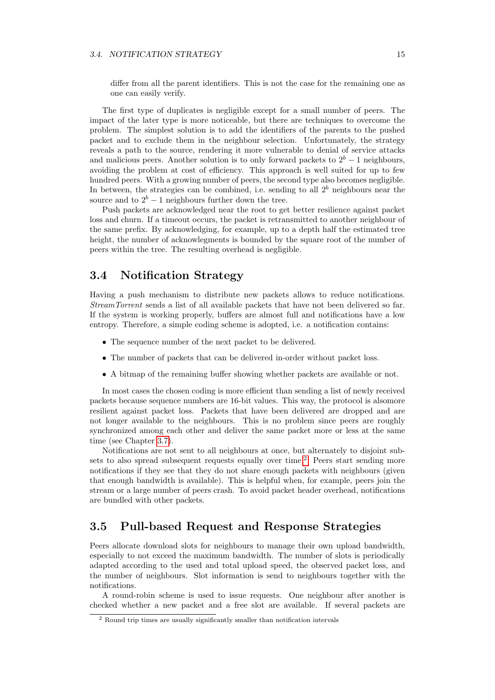#### 3.4. NOTIFICATION STRATEGY 15

differ from all the parent identifiers. This is not the case for the remaining one as one can easily verify.

The first type of duplicates is negligible except for a small number of peers. The impact of the later type is more noticeable, but there are techniques to overcome the problem. The simplest solution is to add the identifiers of the parents to the pushed packet and to exclude them in the neighbour selection. Unfortunately, the strategy reveals a path to the source, rendering it more vulnerable to denial of service attacks and malicious peers. Another solution is to only forward packets to  $2<sup>b</sup> - 1$  neighbours, avoiding the problem at cost of efficiency. This approach is well suited for up to few hundred peers. With a growing number of peers, the second type also becomes negligible. In between, the strategies can be combined, i.e. sending to all  $2<sup>b</sup>$  neighbours near the source and to  $2^b - 1$  neighbours further down the tree.

Push packets are acknowledged near the root to get better resilience against packet loss and churn. If a timeout occurs, the packet is retransmitted to another neighbour of the same prefix. By acknowledging, for example, up to a depth half the estimated tree height, the number of acknowlegments is bounded by the square root of the number of peers within the tree. The resulting overhead is negligible.

## <span id="page-16-0"></span>3.4 Notification Strategy

Having a push mechanism to distribute new packets allows to reduce notifications. StreamTorrent sends a list of all available packets that have not been delivered so far. If the system is working properly, buffers are almost full and notifications have a low entropy. Therefore, a simple coding scheme is adopted, i.e. a notification contains:

- The sequence number of the next packet to be delivered.
- The number of packets that can be delivered in-order without packet loss.
- A bitmap of the remaining buffer showing whether packets are available or not.

In most cases the chosen coding is more efficient than sending a list of newly received packets because sequence numbers are 16-bit values. This way, the protocol is alsomore resilient against packet loss. Packets that have been delivered are dropped and are not longer available to the neighbours. This is no problem since peers are roughly synchronized among each other and deliver the same packet more or less at the same time (see Chapter [3.7\)](#page-20-2).

Notifications are not sent to all neighbours at once, but alternately to disjoint sub-sets to also spread subsequent requests equally over time.<sup>[2](#page-16-2)</sup> Peers start sending more notifications if they see that they do not share enough packets with neighbours (given that enough bandwidth is available). This is helpful when, for example, peers join the stream or a large number of peers crash. To avoid packet header overhead, notifications are bundled with other packets.

### <span id="page-16-1"></span>3.5 Pull-based Request and Response Strategies

Peers allocate download slots for neighbours to manage their own upload bandwidth, especially to not exceed the maximum bandwidth. The number of slots is periodically adapted according to the used and total upload speed, the observed packet loss, and the number of neighbours. Slot information is send to neighbours together with the notifications.

A round-robin scheme is used to issue requests. One neighbour after another is checked whether a new packet and a free slot are available. If several packets are

<span id="page-16-2"></span><sup>&</sup>lt;sup>2</sup> Round trip times are usually significantly smaller than notification intervals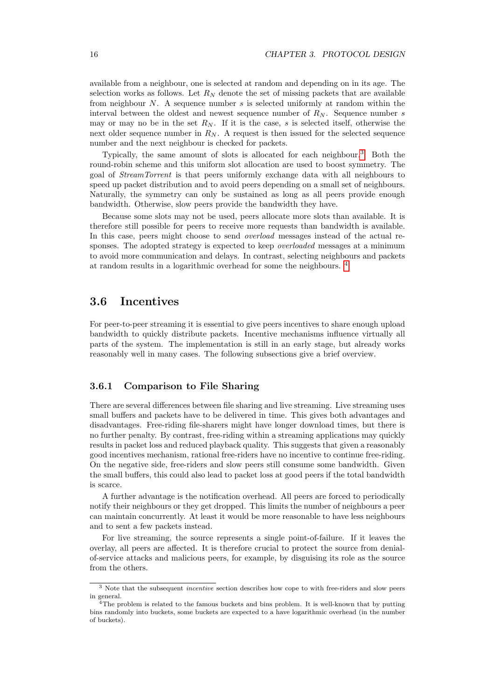available from a neighbour, one is selected at random and depending on in its age. The selection works as follows. Let  $R_N$  denote the set of missing packets that are available from neighbour  $N$ . A sequence number  $s$  is selected uniformly at random within the interval between the oldest and newest sequence number of  $R_N$ . Sequence number s may or may no be in the set  $R_N$ . If it is the case, s is selected itself, otherwise the next older sequence number in  $R_N$ . A request is then issued for the selected sequence number and the next neighbour is checked for packets.

Typically, the same amount of slots is allocated for each neighbour.[3](#page-17-2) Both the round-robin scheme and this uniform slot allocation are used to boost symmetry. The goal of StreamTorrent is that peers uniformly exchange data with all neighbours to speed up packet distribution and to avoid peers depending on a small set of neighbours. Naturally, the symmetry can only be sustained as long as all peers provide enough bandwidth. Otherwise, slow peers provide the bandwidth they have.

Because some slots may not be used, peers allocate more slots than available. It is therefore still possible for peers to receive more requests than bandwidth is available. In this case, peers might choose to send overload messages instead of the actual responses. The adopted strategy is expected to keep *overloaded* messages at a minimum to avoid more communication and delays. In contrast, selecting neighbours and packets at random results in a logarithmic overhead for some the neighbours. [4](#page-17-3)

### <span id="page-17-0"></span>3.6 Incentives

For peer-to-peer streaming it is essential to give peers incentives to share enough upload bandwidth to quickly distribute packets. Incentive mechanisms influence virtually all parts of the system. The implementation is still in an early stage, but already works reasonably well in many cases. The following subsections give a brief overview.

#### <span id="page-17-1"></span>3.6.1 Comparison to File Sharing

There are several differences between file sharing and live streaming. Live streaming uses small buffers and packets have to be delivered in time. This gives both advantages and disadvantages. Free-riding file-sharers might have longer download times, but there is no further penalty. By contrast, free-riding within a streaming applications may quickly results in packet loss and reduced playback quality. This suggests that given a reasonably good incentives mechanism, rational free-riders have no incentive to continue free-riding. On the negative side, free-riders and slow peers still consume some bandwidth. Given the small buffers, this could also lead to packet loss at good peers if the total bandwidth is scarce.

A further advantage is the notification overhead. All peers are forced to periodically notify their neighbours or they get dropped. This limits the number of neighbours a peer can maintain concurrently. At least it would be more reasonable to have less neighbours and to sent a few packets instead.

For live streaming, the source represents a single point-of-failure. If it leaves the overlay, all peers are affected. It is therefore crucial to protect the source from denialof-service attacks and malicious peers, for example, by disguising its role as the source from the others.

<span id="page-17-2"></span><sup>&</sup>lt;sup>3</sup> Note that the subsequent *incentive* section describes how cope to with free-riders and slow peers in general.

<span id="page-17-3"></span> $\frac{4}{4}$ The problem is related to the famous buckets and bins problem. It is well-known that by putting bins randomly into buckets, some buckets are expected to a have logarithmic overhead (in the number of buckets).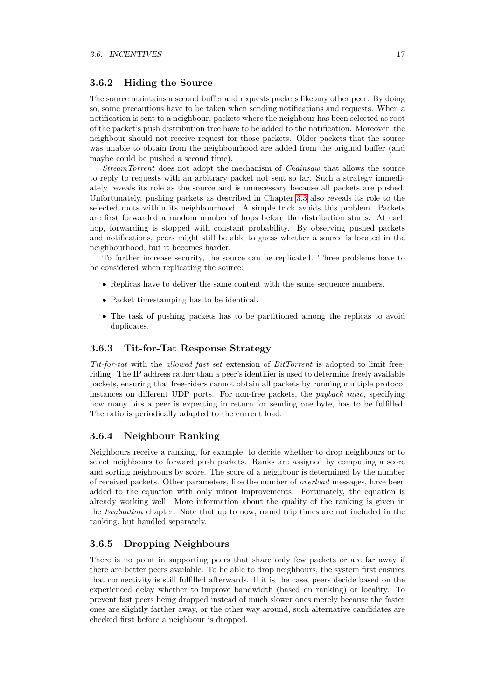#### <span id="page-18-0"></span>3.6.2 Hiding the Source

The source maintains a second buffer and requests packets like any other peer. By doing so, some precautions have to be taken when sending notifications and requests. When a notification is sent to a neighbour, packets where the neighbour has been selected as root of the packet's push distribution tree have to be added to the notification. Moreover, the neighbour should not receive request for those packets. Older packets that the source was unable to obtain from the neighbourhood are added from the original buffer (and maybe could be pushed a second time).

StreamTorrent does not adopt the mechanism of Chainsaw that allows the source to reply to requests with an arbitrary packet not sent so far. Such a strategy immediately reveals its role as the source and is unnecessary because all packets are pushed. Unfortunately, pushing packets as described in Chapter [3.3](#page-15-0) also reveals its role to the selected roots within its neighbourhood. A simple trick avoids this problem. Packets are first forwarded a random number of hops before the distribution starts. At each hop, forwarding is stopped with constant probability. By observing pushed packets and notifications, peers might still be able to guess whether a source is located in the neighbourhood, but it becomes harder.

To further increase security, the source can be replicated. Three problems have to be considered when replicating the source:

- Replicas have to deliver the same content with the same sequence numbers.
- Packet timestamping has to be identical.
- The task of pushing packets has to be partitioned among the replicas to avoid duplicates.

#### <span id="page-18-1"></span>3.6.3 Tit-for-Tat Response Strategy

Tit-for-tat with the allowed fast set extension of BitTorrent is adopted to limit freeriding. The IP address rather than a peer's identifier is used to determine freely available packets, ensuring that free-riders cannot obtain all packets by running multiple protocol instances on different UDP ports. For non-free packets, the payback ratio, specifying how many bits a peer is expecting in return for sending one byte, has to be fulfilled. The ratio is periodically adapted to the current load.

#### <span id="page-18-2"></span>3.6.4 Neighbour Ranking

Neighbours receive a ranking, for example, to decide whether to drop neighbours or to select neighbours to forward push packets. Ranks are assigned by computing a score and sorting neighbours by score. The score of a neighbour is determined by the number of received packets. Other parameters, like the number of overload messages, have been added to the equation with only minor improvements. Fortunately, the equation is already working well. More information about the quality of the ranking is given in the Evaluation chapter. Note that up to now, round trip times are not included in the ranking, but handled separately.

#### <span id="page-18-3"></span>3.6.5 Dropping Neighbours

There is no point in supporting peers that share only few packets or are far away if there are better peers available. To be able to drop neighbours, the system first ensures that connectivity is still fulfilled afterwards. If it is the case, peers decide based on the experienced delay whether to improve bandwidth (based on ranking) or locality. To prevent fast peers being dropped instead of much slower ones merely because the faster ones are slightly farther away, or the other way around, such alternative candidates are checked first before a neighbour is dropped.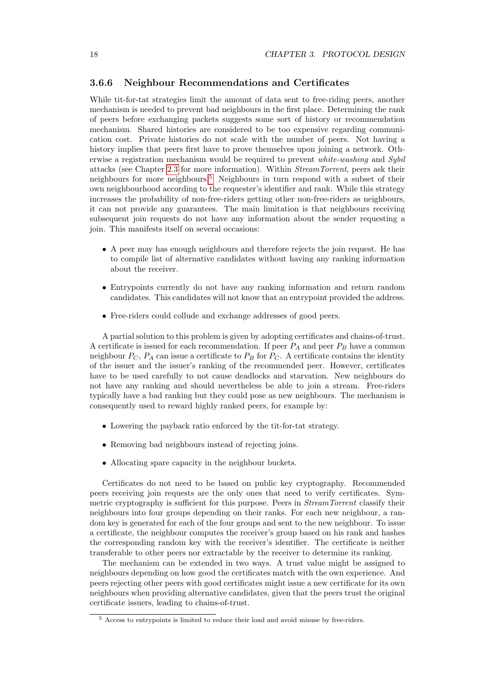#### <span id="page-19-0"></span>3.6.6 Neighbour Recommendations and Certificates

While tit-for-tat strategies limit the amount of data sent to free-riding peers, another mechanism is needed to prevent bad neighbours in the first place. Determining the rank of peers before exchanging packets suggests some sort of history or recommendation mechanism. Shared histories are considered to be too expensive regarding communication cost. Private histories do not scale with the number of peers. Not having a history implies that peers first have to prove themselves upon joining a network. Otherwise a registration mechanism would be required to prevent white-washing and Sybil attacks (see Chapter [2.3](#page-12-0) for more information). Within StreamTorrent, peers ask their neighbours for more neighbours.[5](#page-19-1) Neighbours in turn respond with a subset of their own neighbourhood according to the requester's identifier and rank. While this strategy increases the probability of non-free-riders getting other non-free-riders as neighbours, it can not provide any guarantees. The main limitation is that neighbours receiving subsequent join requests do not have any information about the sender requesting a join. This manifests itself on several occasions:

- A peer may has enough neighbours and therefore rejects the join request. He has to compile list of alternative candidates without having any ranking information about the receiver.
- Entrypoints currently do not have any ranking information and return random candidates. This candidates will not know that an entrypoint provided the address.
- Free-riders could collude and exchange addresses of good peers.

A partial solution to this problem is given by adopting certificates and chains-of-trust. A certificate is issued for each recommendation. If peer  $P_A$  and peer  $P_B$  have a common neighbour  $P_C$ ,  $P_A$  can issue a certificate to  $P_B$  for  $P_C$ . A certificate contains the identity of the issuer and the issuer's ranking of the recommended peer. However, certificates have to be used carefully to not cause deadlocks and starvation. New neighbours do not have any ranking and should nevertheless be able to join a stream. Free-riders typically have a bad ranking but they could pose as new neighbours. The mechanism is consequently used to reward highly ranked peers, for example by:

- Lowering the payback ratio enforced by the tit-for-tat strategy.
- Removing bad neighbours instead of rejecting joins.
- Allocating spare capacity in the neighbour buckets.

Certificates do not need to be based on public key cryptography. Recommended peers receiving join requests are the only ones that need to verify certificates. Symmetric cryptography is sufficient for this purpose. Peers in *StreamTorrent* classify their neighbours into four groups depending on their ranks. For each new neighbour, a random key is generated for each of the four groups and sent to the new neighbour. To issue a certificate, the neighbour computes the receiver's group based on his rank and hashes the corresponding random key with the receiver's identifier. The certificate is neither transferable to other peers nor extractable by the receiver to determine its ranking.

The mechanism can be extended in two ways. A trust value might be assigned to neighbours depending on how good the certificates match with the own experience. And peers rejecting other peers with good certificates might issue a new certificate for its own neighbours when providing alternative candidates, given that the peers trust the original certificate issuers, leading to chains-of-trust.

<span id="page-19-1"></span><sup>5</sup> Access to entrypoints is limited to reduce their load and avoid misuse by free-riders.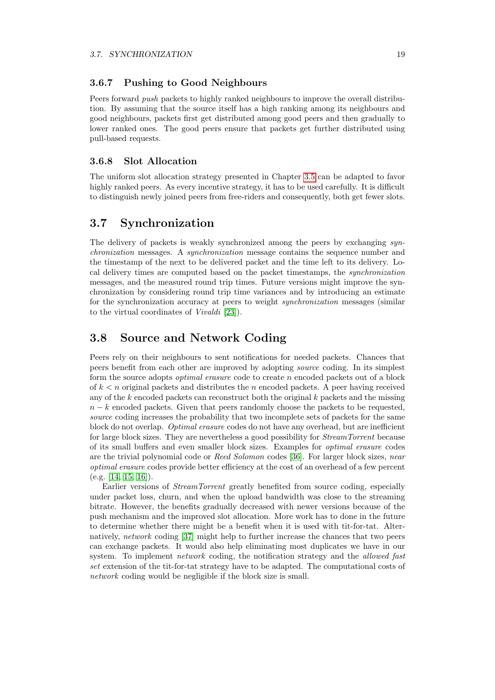#### <span id="page-20-0"></span>3.6.7 Pushing to Good Neighbours

Peers forward push packets to highly ranked neighbours to improve the overall distribution. By assuming that the source itself has a high ranking among its neighbours and good neighbours, packets first get distributed among good peers and then gradually to lower ranked ones. The good peers ensure that packets get further distributed using pull-based requests.

#### <span id="page-20-1"></span>3.6.8 Slot Allocation

The uniform slot allocation strategy presented in Chapter [3.5](#page-16-1) can be adapted to favor highly ranked peers. As every incentive strategy, it has to be used carefully. It is difficult to distinguish newly joined peers from free-riders and consequently, both get fewer slots.

### <span id="page-20-2"></span>3.7 Synchronization

The delivery of packets is weakly synchronized among the peers by exchanging synchronization messages. A synchronization message contains the sequence number and the timestamp of the next to be delivered packet and the time left to its delivery. Local delivery times are computed based on the packet timestamps, the synchronization messages, and the measured round trip times. Future versions might improve the synchronization by considering round trip time variances and by introducing an estimate for the synchronization accuracy at peers to weight synchronization messages (similar to the virtual coordinates of Vivaldi [\[23\]](#page-59-8)).

### <span id="page-20-3"></span>3.8 Source and Network Coding

Peers rely on their neighbours to sent notifications for needed packets. Chances that peers benefit from each other are improved by adopting source coding. In its simplest form the source adopts optimal erasure code to create n encoded packets out of a block of  $k < n$  original packets and distributes the n encoded packets. A peer having received any of the  $k$  encoded packets can reconstruct both the original  $k$  packets and the missing  $n - k$  encoded packets. Given that peers randomly choose the packets to be requested, source coding increases the probability that two incomplete sets of packets for the same block do not overlap. Optimal erasure codes do not have any overhead, but are inefficient for large block sizes. They are nevertheless a good possibility for StreamTorrent because of its small buffers and even smaller block sizes. Examples for optimal erasure codes are the trivial polynomial code or Reed Solomon codes [\[36\]](#page-60-3). For larger block sizes, near optimal erasure codes provide better efficiency at the cost of an overhead of a few percent (e.g. [\[14,](#page-58-13) [15,](#page-59-0) [16\]](#page-59-1)).

Earlier versions of StreamTorrent greatly benefited from source coding, especially under packet loss, churn, and when the upload bandwidth was close to the streaming bitrate. However, the benefits gradually decreased with newer versions because of the push mechanism and the improved slot allocation. More work has to done in the future to determine whether there might be a benefit when it is used with tit-for-tat. Alternatively, network coding [\[37\]](#page-60-4) might help to further increase the chances that two peers can exchange packets. It would also help eliminating most duplicates we have in our system. To implement *network* coding, the notification strategy and the *allowed fast* set extension of the tit-for-tat strategy have to be adapted. The computational costs of network coding would be negligible if the block size is small.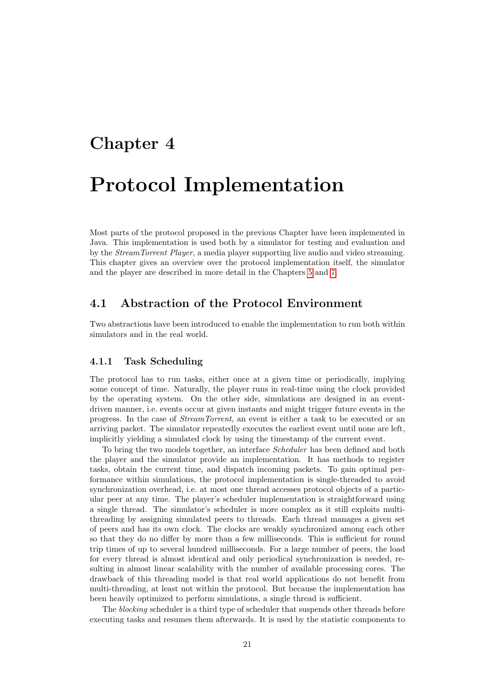## <span id="page-22-0"></span>Chapter 4

# Protocol Implementation

Most parts of the protocol proposed in the previous Chapter have been implemented in Java. This implementation is used both by a simulator for testing and evaluation and by the StreamTorrent Player, a media player supporting live audio and video streaming. This chapter gives an overview over the protocol implementation itself, the simulator and the player are described in more detail in the Chapters [5](#page-26-0) and [7.](#page-42-0)

## <span id="page-22-1"></span>4.1 Abstraction of the Protocol Environment

Two abstractions have been introduced to enable the implementation to run both within simulators and in the real world.

#### <span id="page-22-2"></span>4.1.1 Task Scheduling

The protocol has to run tasks, either once at a given time or periodically, implying some concept of time. Naturally, the player runs in real-time using the clock provided by the operating system. On the other side, simulations are designed in an eventdriven manner, i.e. events occur at given instants and might trigger future events in the progress. In the case of StreamTorrent, an event is either a task to be executed or an arriving packet. The simulator repeatedly executes the earliest event until none are left, implicitly yielding a simulated clock by using the timestamp of the current event.

To bring the two models together, an interface Scheduler has been defined and both the player and the simulator provide an implementation. It has methods to register tasks, obtain the current time, and dispatch incoming packets. To gain optimal performance within simulations, the protocol implementation is single-threaded to avoid synchronization overhead, i.e. at most one thread accesses protocol objects of a particular peer at any time. The player's scheduler implementation is straightforward using a single thread. The simulator's scheduler is more complex as it still exploits multithreading by assigning simulated peers to threads. Each thread manages a given set of peers and has its own clock. The clocks are weakly synchronized among each other so that they do no differ by more than a few milliseconds. This is sufficient for round trip times of up to several hundred milliseconds. For a large number of peers, the load for every thread is almost identical and only periodical synchronization is needed, resulting in almost linear scalability with the number of available processing cores. The drawback of this threading model is that real world applications do not benefit from multi-threading, at least not within the protocol. But because the implementation has been heavily optimized to perform simulations, a single thread is sufficient.

The *blocking* scheduler is a third type of scheduler that suspends other threads before executing tasks and resumes them afterwards. It is used by the statistic components to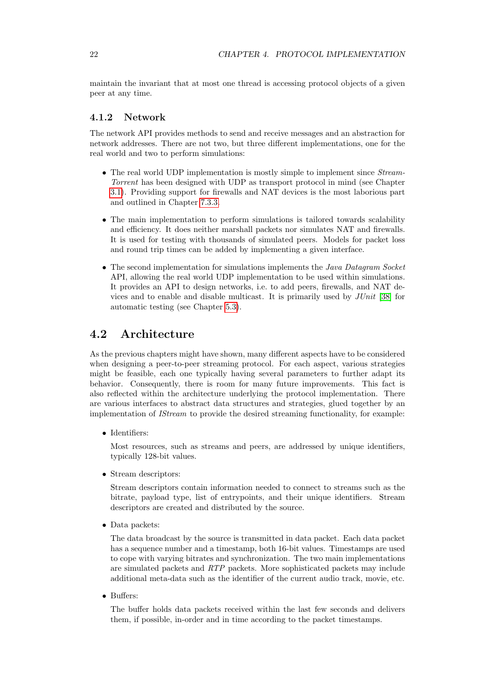maintain the invariant that at most one thread is accessing protocol objects of a given peer at any time.

#### <span id="page-23-0"></span>4.1.2 Network

The network API provides methods to send and receive messages and an abstraction for network addresses. There are not two, but three different implementations, one for the real world and two to perform simulations:

- The real world UDP implementation is mostly simple to implement since *Stream*-Torrent has been designed with UDP as transport protocol in mind (see Chapter [3.1\)](#page-14-1). Providing support for firewalls and NAT devices is the most laborious part and outlined in Chapter [7.3.3.](#page-45-0)
- The main implementation to perform simulations is tailored towards scalability and efficiency. It does neither marshall packets nor simulates NAT and firewalls. It is used for testing with thousands of simulated peers. Models for packet loss and round trip times can be added by implementing a given interface.
- The second implementation for simulations implements the Java Datagram Socket API, allowing the real world UDP implementation to be used within simulations. It provides an API to design networks, i.e. to add peers, firewalls, and NAT devices and to enable and disable multicast. It is primarily used by  $JUnit$  [\[38\]](#page-60-5) for automatic testing (see Chapter [5.3\)](#page-27-1).

## <span id="page-23-1"></span>4.2 Architecture

As the previous chapters might have shown, many different aspects have to be considered when designing a peer-to-peer streaming protocol. For each aspect, various strategies might be feasible, each one typically having several parameters to further adapt its behavior. Consequently, there is room for many future improvements. This fact is also reflected within the architecture underlying the protocol implementation. There are various interfaces to abstract data structures and strategies, glued together by an implementation of IStream to provide the desired streaming functionality, for example:

• Identifiers:

Most resources, such as streams and peers, are addressed by unique identifiers, typically 128-bit values.

• Stream descriptors:

Stream descriptors contain information needed to connect to streams such as the bitrate, payload type, list of entrypoints, and their unique identifiers. Stream descriptors are created and distributed by the source.

• Data packets:

The data broadcast by the source is transmitted in data packet. Each data packet has a sequence number and a timestamp, both 16-bit values. Timestamps are used to cope with varying bitrates and synchronization. The two main implementations are simulated packets and RTP packets. More sophisticated packets may include additional meta-data such as the identifier of the current audio track, movie, etc.

• Buffers:

The buffer holds data packets received within the last few seconds and delivers them, if possible, in-order and in time according to the packet timestamps.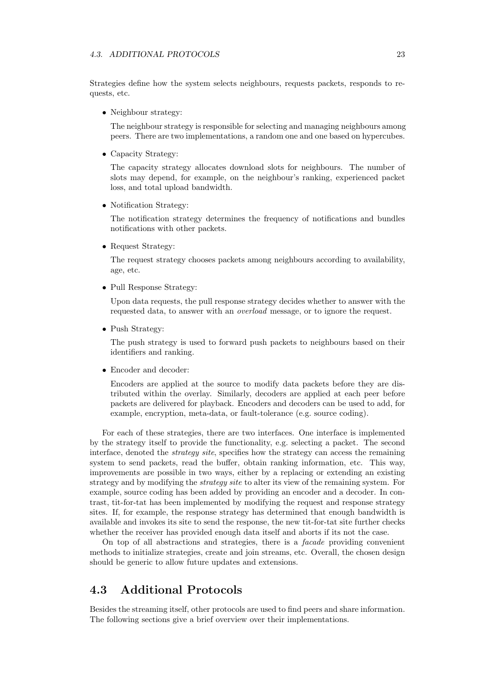Strategies define how the system selects neighbours, requests packets, responds to requests, etc.

• Neighbour strategy:

The neighbour strategy is responsible for selecting and managing neighbours among peers. There are two implementations, a random one and one based on hypercubes.

• Capacity Strategy:

The capacity strategy allocates download slots for neighbours. The number of slots may depend, for example, on the neighbour's ranking, experienced packet loss, and total upload bandwidth.

• Notification Strategy:

The notification strategy determines the frequency of notifications and bundles notifications with other packets.

• Request Strategy:

The request strategy chooses packets among neighbours according to availability, age, etc.

• Pull Response Strategy:

Upon data requests, the pull response strategy decides whether to answer with the requested data, to answer with an overload message, or to ignore the request.

• Push Strategy:

The push strategy is used to forward push packets to neighbours based on their identifiers and ranking.

• Encoder and decoder:

Encoders are applied at the source to modify data packets before they are distributed within the overlay. Similarly, decoders are applied at each peer before packets are delivered for playback. Encoders and decoders can be used to add, for example, encryption, meta-data, or fault-tolerance (e.g. source coding).

For each of these strategies, there are two interfaces. One interface is implemented by the strategy itself to provide the functionality, e.g. selecting a packet. The second interface, denoted the strategy site, specifies how the strategy can access the remaining system to send packets, read the buffer, obtain ranking information, etc. This way, improvements are possible in two ways, either by a replacing or extending an existing strategy and by modifying the *strategy site* to alter its view of the remaining system. For example, source coding has been added by providing an encoder and a decoder. In contrast, tit-for-tat has been implemented by modifying the request and response strategy sites. If, for example, the response strategy has determined that enough bandwidth is available and invokes its site to send the response, the new tit-for-tat site further checks whether the receiver has provided enough data itself and aborts if its not the case.

On top of all abstractions and strategies, there is a facade providing convenient methods to initialize strategies, create and join streams, etc. Overall, the chosen design should be generic to allow future updates and extensions.

## <span id="page-24-0"></span>4.3 Additional Protocols

Besides the streaming itself, other protocols are used to find peers and share information. The following sections give a brief overview over their implementations.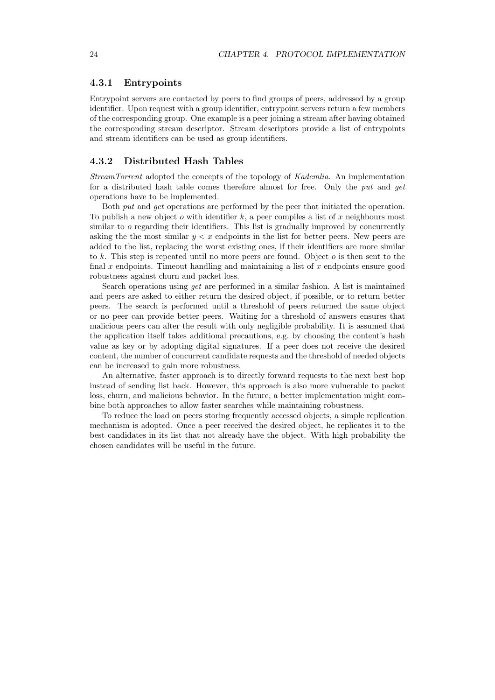#### <span id="page-25-0"></span>4.3.1 Entrypoints

Entrypoint servers are contacted by peers to find groups of peers, addressed by a group identifier. Upon request with a group identifier, entrypoint servers return a few members of the corresponding group. One example is a peer joining a stream after having obtained the corresponding stream descriptor. Stream descriptors provide a list of entrypoints and stream identifiers can be used as group identifiers.

#### <span id="page-25-1"></span>4.3.2 Distributed Hash Tables

StreamTorrent adopted the concepts of the topology of Kademlia. An implementation for a distributed hash table comes therefore almost for free. Only the put and get operations have to be implemented.

Both put and get operations are performed by the peer that initiated the operation. To publish a new object o with identifier k, a peer compiles a list of x neighbours most similar to o regarding their identifiers. This list is gradually improved by concurrently asking the the most similar  $y < x$  endpoints in the list for better peers. New peers are added to the list, replacing the worst existing ones, if their identifiers are more similar to k. This step is repeated until no more peers are found. Object  $o$  is then sent to the final  $x$  endpoints. Timeout handling and maintaining a list of  $x$  endpoints ensure good robustness against churn and packet loss.

Search operations using get are performed in a similar fashion. A list is maintained and peers are asked to either return the desired object, if possible, or to return better peers. The search is performed until a threshold of peers returned the same object or no peer can provide better peers. Waiting for a threshold of answers ensures that malicious peers can alter the result with only negligible probability. It is assumed that the application itself takes additional precautions, e.g. by choosing the content's hash value as key or by adopting digital signatures. If a peer does not receive the desired content, the number of concurrent candidate requests and the threshold of needed objects can be increased to gain more robustness.

An alternative, faster approach is to directly forward requests to the next best hop instead of sending list back. However, this approach is also more vulnerable to packet loss, churn, and malicious behavior. In the future, a better implementation might combine both approaches to allow faster searches while maintaining robustness.

To reduce the load on peers storing frequently accessed objects, a simple replication mechanism is adopted. Once a peer received the desired object, he replicates it to the best candidates in its list that not already have the object. With high probability the chosen candidates will be useful in the future.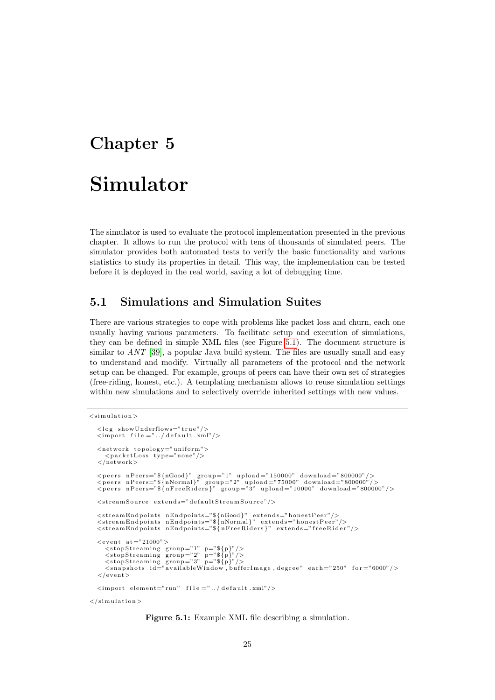# <span id="page-26-0"></span>Chapter 5 Simulator

The simulator is used to evaluate the protocol implementation presented in the previous chapter. It allows to run the protocol with tens of thousands of simulated peers. The simulator provides both automated tests to verify the basic functionality and various statistics to study its properties in detail. This way, the implementation can be tested before it is deployed in the real world, saving a lot of debugging time.

## <span id="page-26-1"></span>5.1 Simulations and Simulation Suites

There are various strategies to cope with problems like packet loss and churn, each one usually having various parameters. To facilitate setup and execution of simulations, they can be defined in simple XML files (see Figure [5.1\)](#page-26-2). The document structure is similar to  $ANT$  [\[39\]](#page-60-6), a popular Java build system. The files are usually small and easy to understand and modify. Virtually all parameters of the protocol and the network setup can be changed. For example, groups of peers can have their own set of strategies (free-riding, honest, etc.). A templating mechanism allows to reuse simulation settings within new simulations and to selectively override inherited settings with new values.

```
<simulation>\langle \log showUnderflows="true"/>
  \langleimport file ="../default.xml"/>
  \langle network topology="uniform">
      \langlepacketLoss type="none"/>
  \langle/network><peers nPeers="${nGood}" group="1" upload="150000" download="800000"/><br><peers nPeers="${nNormal}" group="2" upload="75000" download="800000"/><br><peers nPeers="${nFreeRiders}" group="3" upload="10000" download="800000"/>
  \langlestreamSource extends="defaultStreamSource"/>
  <streamEndpoints nEndpoints="${nGood}" extends="honestPeer"/><br><streamEndpoints nEndpoints="${nNormal}" extends="honestPeer"/>
  \frac{1}{2} streamEndpoints nEndpoints="\frac{1}{2} (nFreeRiders)" extends="freeRider"/>
  \langleevent at="21000">
     \langlestopStreaming group="1" p="${p}"/>
      <stopStreaming group="2" p="${p}"/><br><stopStreaming group="3" p="${p}"/><br><snapshots id="availableWindow,bufferImage,degree" each="250" for="6000"/>
  \langle/event>
  \langleimport element="run" file ="../default.xml"/>
\langle/simulation>
```
Figure 5.1: Example XML file describing a simulation.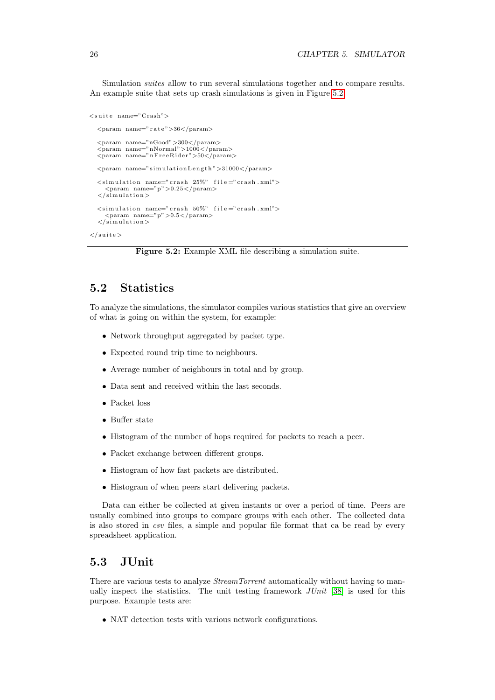Simulation suites allow to run several simulations together and to compare results. An example suite that sets up crash simulations is given in Figure [5.2.](#page-27-2)

```
\langlesuite name="Crash">
    \langleparam name=" r a t e ">36\langle/param>
    \langleparam name="nGood">300\langleparam>
    <param name="nNormal">1000</param>
<param name="nF r e eR id e r ">50</param>
   \langleparam name="simulationLength">31000\langle/param>
   \langlesimulation name="crash 25%" file="crash.xml">
        \langleparam name="p">0.25\langleparam>
    \langle simulation >
    \langle simulation name=" crash 50%" file=" crash .xml">
        \frac{1}{2} \frac{1}{2} \frac{1}{2} \frac{1}{2} \frac{1}{2} \frac{1}{2} \frac{1}{2} \frac{1}{2} \frac{1}{2} \frac{1}{2} \frac{1}{2} \frac{1}{2} \frac{1}{2} \frac{1}{2} \frac{1}{2} \frac{1}{2} \frac{1}{2} \frac{1}{2} \frac{1}{2} \frac{1}{2} \frac{1}{2} \frac{1}{2} \langle/simulation >
\langle/suite>
```
Figure 5.2: Example XML file describing a simulation suite.

## <span id="page-27-0"></span>5.2 Statistics

To analyze the simulations, the simulator compiles various statistics that give an overview of what is going on within the system, for example:

- Network throughput aggregated by packet type.
- Expected round trip time to neighbours.
- Average number of neighbours in total and by group.
- Data sent and received within the last seconds.
- Packet loss
- Buffer state
- Histogram of the number of hops required for packets to reach a peer.
- Packet exchange between different groups.
- Histogram of how fast packets are distributed.
- Histogram of when peers start delivering packets.

Data can either be collected at given instants or over a period of time. Peers are usually combined into groups to compare groups with each other. The collected data is also stored in csv files, a simple and popular file format that ca be read by every spreadsheet application.

## <span id="page-27-1"></span>5.3 JUnit

There are various tests to analyze *StreamTorrent* automatically without having to manually inspect the statistics. The unit testing framework JUnit [\[38\]](#page-60-5) is used for this purpose. Example tests are:

• NAT detection tests with various network configurations.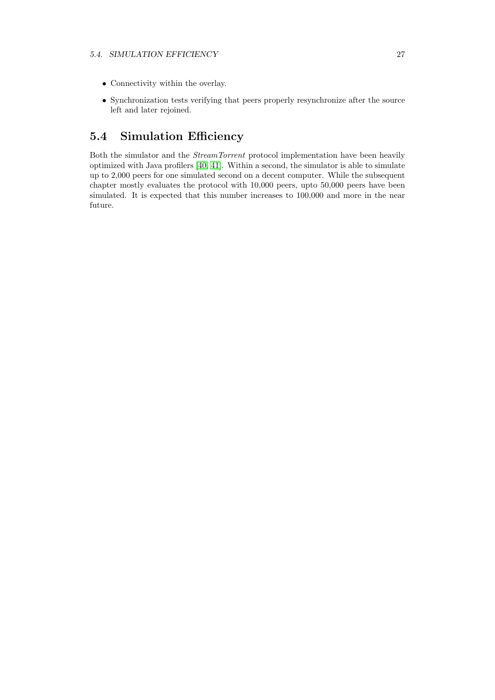- Connectivity within the overlay.
- Synchronization tests verifying that peers properly resynchronize after the source left and later rejoined.

## <span id="page-28-0"></span>5.4 Simulation Efficiency

Both the simulator and the StreamTorrent protocol implementation have been heavily optimized with Java profilers [\[40,](#page-60-7) [41\]](#page-60-8). Within a second, the simulator is able to simulate up to 2,000 peers for one simulated second on a decent computer. While the subsequent chapter mostly evaluates the protocol with 10,000 peers, upto 50,000 peers have been simulated. It is expected that this number increases to 100,000 and more in the near future.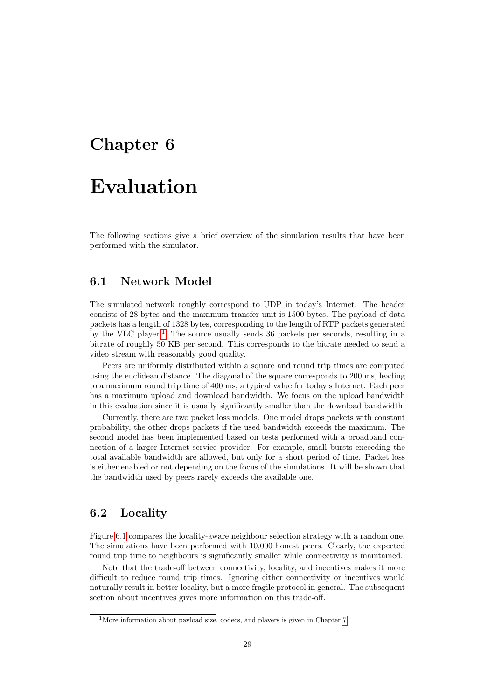## <span id="page-30-0"></span>Chapter 6

## Evaluation

The following sections give a brief overview of the simulation results that have been performed with the simulator.

### <span id="page-30-1"></span>6.1 Network Model

The simulated network roughly correspond to UDP in today's Internet. The header consists of 28 bytes and the maximum transfer unit is 1500 bytes. The payload of data packets has a length of 1328 bytes, corresponding to the length of RTP packets generated by the VLC player.<sup>[1](#page-30-3)</sup> The source usually sends 36 packets per seconds, resulting in a bitrate of roughly 50 KB per second. This corresponds to the bitrate needed to send a video stream with reasonably good quality.

Peers are uniformly distributed within a square and round trip times are computed using the euclidean distance. The diagonal of the square corresponds to 200 ms, leading to a maximum round trip time of 400 ms, a typical value for today's Internet. Each peer has a maximum upload and download bandwidth. We focus on the upload bandwidth in this evaluation since it is usually significantly smaller than the download bandwidth.

Currently, there are two packet loss models. One model drops packets with constant probability, the other drops packets if the used bandwidth exceeds the maximum. The second model has been implemented based on tests performed with a broadband connection of a larger Internet service provider. For example, small bursts exceeding the total available bandwidth are allowed, but only for a short period of time. Packet loss is either enabled or not depending on the focus of the simulations. It will be shown that the bandwidth used by peers rarely exceeds the available one.

## <span id="page-30-2"></span>6.2 Locality

Figure [6.1](#page-31-2) compares the locality-aware neighbour selection strategy with a random one. The simulations have been performed with 10,000 honest peers. Clearly, the expected round trip time to neighbours is significantly smaller while connectivity is maintained.

Note that the trade-off between connectivity, locality, and incentives makes it more difficult to reduce round trip times. Ignoring either connectivity or incentives would naturally result in better locality, but a more fragile protocol in general. The subsequent section about incentives gives more information on this trade-off.

<span id="page-30-3"></span><sup>&</sup>lt;sup>1</sup>More information about payload size, codecs, and players is given in Chapter [7](#page-42-0)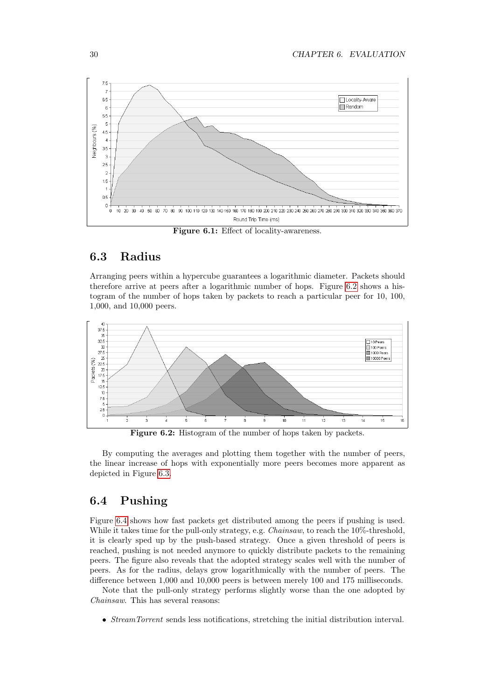<span id="page-31-2"></span>

### <span id="page-31-0"></span>6.3 Radius

Arranging peers within a hypercube guarantees a logarithmic diameter. Packets should therefore arrive at peers after a logarithmic number of hops. Figure [6.2](#page-31-3) shows a histogram of the number of hops taken by packets to reach a particular peer for 10, 100, 1,000, and 10,000 peers.

<span id="page-31-3"></span>

Figure 6.2: Histogram of the number of hops taken by packets.

By computing the averages and plotting them together with the number of peers, the linear increase of hops with exponentially more peers becomes more apparent as depicted in Figure [6.3.](#page-32-0)

## <span id="page-31-1"></span>6.4 Pushing

Figure [6.4](#page-32-1) shows how fast packets get distributed among the peers if pushing is used. While it takes time for the pull-only strategy, e.g. Chainsaw, to reach the 10%-threshold, it is clearly sped up by the push-based strategy. Once a given threshold of peers is reached, pushing is not needed anymore to quickly distribute packets to the remaining peers. The figure also reveals that the adopted strategy scales well with the number of peers. As for the radius, delays grow logarithmically with the number of peers. The difference between 1,000 and 10,000 peers is between merely 100 and 175 milliseconds.

Note that the pull-only strategy performs slightly worse than the one adopted by Chainsaw. This has several reasons:

• StreamTorrent sends less notifications, stretching the initial distribution interval.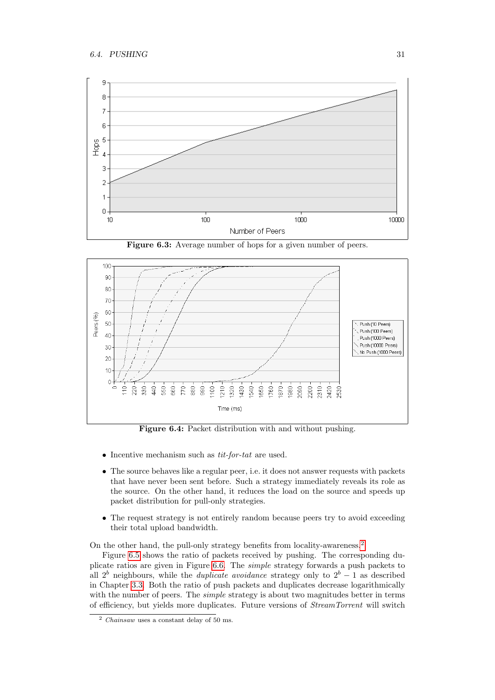<span id="page-32-0"></span>

Figure 6.3: Average number of hops for a given number of peers.

<span id="page-32-1"></span>

Figure 6.4: Packet distribution with and without pushing.

- Incentive mechanism such as  $tit$ -for-tat are used.
- The source behaves like a regular peer, i.e. it does not answer requests with packets that have never been sent before. Such a strategy immediately reveals its role as the source. On the other hand, it reduces the load on the source and speeds up packet distribution for pull-only strategies.
- The request strategy is not entirely random because peers try to avoid exceeding their total upload bandwidth.

On the other hand, the pull-only strategy benefits from locality-awareness.[2](#page-32-2)

Figure [6.5](#page-33-0) shows the ratio of packets received by pushing. The corresponding duplicate ratios are given in Figure [6.6.](#page-33-1) The simple strategy forwards a push packets to all  $2<sup>b</sup>$  neighbours, while the *duplicate avoidance* strategy only to  $2<sup>b</sup> - 1$  as described in Chapter [3.3.](#page-15-0) Both the ratio of push packets and duplicates decrease logarithmically with the number of peers. The *simple* strategy is about two magnitudes better in terms of efficiency, but yields more duplicates. Future versions of StreamTorrent will switch

<span id="page-32-2"></span> $\frac{2 \text{ Chainsaw uses a constant delay of } 50 \text{ ms.}}{2 \text{ Chainsaw uses a constant delay of } 50 \text{ ms.}}$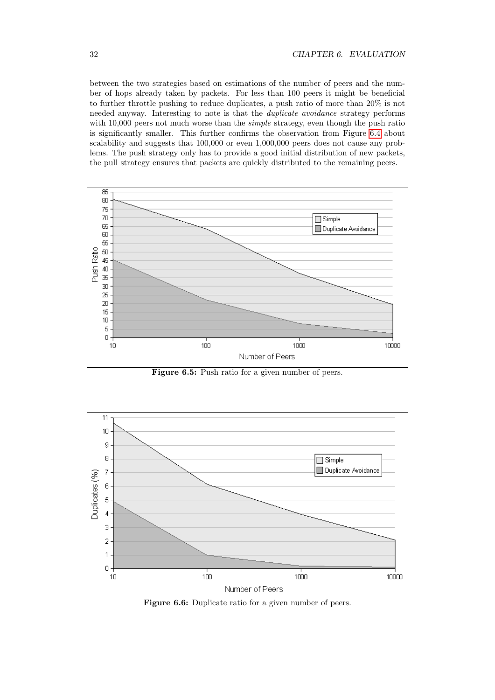between the two strategies based on estimations of the number of peers and the number of hops already taken by packets. For less than 100 peers it might be beneficial to further throttle pushing to reduce duplicates, a push ratio of more than 20% is not needed anyway. Interesting to note is that the duplicate avoidance strategy performs with 10,000 peers not much worse than the *simple* strategy, even though the push ratio is significantly smaller. This further confirms the observation from Figure [6.4](#page-32-1) about scalability and suggests that 100,000 or even 1,000,000 peers does not cause any problems. The push strategy only has to provide a good initial distribution of new packets, the pull strategy ensures that packets are quickly distributed to the remaining peers.

<span id="page-33-0"></span>

Figure 6.5: Push ratio for a given number of peers.

<span id="page-33-1"></span>

Figure 6.6: Duplicate ratio for a given number of peers.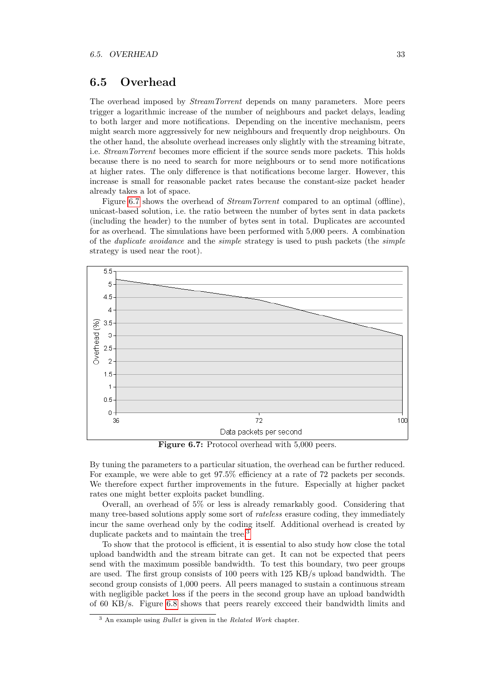### <span id="page-34-0"></span>6.5 Overhead

The overhead imposed by StreamTorrent depends on many parameters. More peers trigger a logarithmic increase of the number of neighbours and packet delays, leading to both larger and more notifications. Depending on the incentive mechanism, peers might search more aggressively for new neighbours and frequently drop neighbours. On the other hand, the absolute overhead increases only slightly with the streaming bitrate, i.e. StreamTorrent becomes more efficient if the source sends more packets. This holds because there is no need to search for more neighbours or to send more notifications at higher rates. The only difference is that notifications become larger. However, this increase is small for reasonable packet rates because the constant-size packet header already takes a lot of space.

Figure [6.7](#page-34-1) shows the overhead of *StreamTorrent* compared to an optimal (offline), unicast-based solution, i.e. the ratio between the number of bytes sent in data packets (including the header) to the number of bytes sent in total. Duplicates are accounted for as overhead. The simulations have been performed with 5,000 peers. A combination of the duplicate avoidance and the simple strategy is used to push packets (the simple strategy is used near the root).

<span id="page-34-1"></span>

Figure 6.7: Protocol overhead with 5,000 peers.

By tuning the parameters to a particular situation, the overhead can be further reduced. For example, we were able to get 97.5% efficiency at a rate of 72 packets per seconds. We therefore expect further improvements in the future. Especially at higher packet rates one might better exploits packet bundling.

Overall, an overhead of 5% or less is already remarkably good. Considering that many tree-based solutions apply some sort of rateless erasure coding, they immediately incur the same overhead only by the coding itself. Additional overhead is created by duplicate packets and to maintain the tree.<sup>[3](#page-34-2)</sup>

To show that the protocol is efficient, it is essential to also study how close the total upload bandwidth and the stream bitrate can get. It can not be expected that peers send with the maximum possible bandwidth. To test this boundary, two peer groups are used. The first group consists of 100 peers with 125 KB/s upload bandwidth. The second group consists of 1,000 peers. All peers managed to sustain a continuous stream with negligible packet loss if the peers in the second group have an upload bandwidth of 60 KB/s. Figure [6.8](#page-35-1) shows that peers rearely excceed their bandwidth limits and

<span id="page-34-2"></span><sup>3</sup> An example using Bullet is given in the Related Work chapter.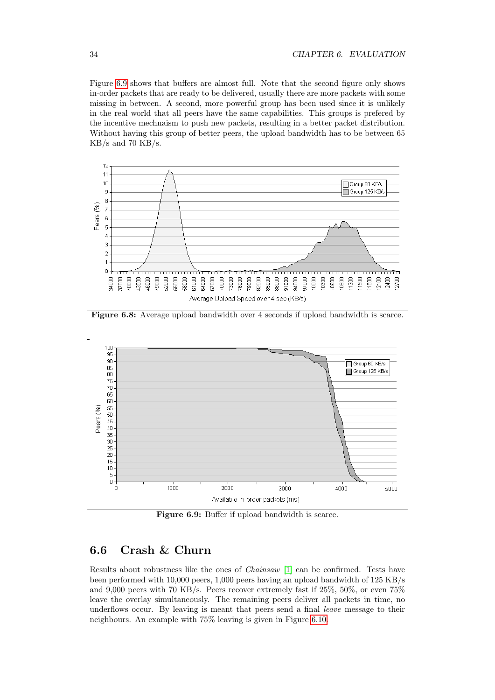Figure [6.9](#page-35-2) shows that buffers are almost full. Note that the second figure only shows in-order packets that are ready to be delivered, usually there are more packets with some missing in between. A second, more powerful group has been used since it is unlikely in the real world that all peers have the same capabilities. This groups is prefered by the incentive mechnaism to push new packets, resulting in a better packet distribution. Without having this group of better peers, the upload bandwidth has to be between 65  $KB/s$  and 70  $KB/s$ .

<span id="page-35-1"></span>

Figure 6.8: Average upload bandwidth over 4 seconds if upload bandwidth is scarce.

<span id="page-35-2"></span>

Figure 6.9: Buffer if upload bandwidth is scarce.

## <span id="page-35-0"></span>6.6 Crash & Churn

Results about robustness like the ones of Chainsaw [\[1\]](#page-58-0) can be confirmed. Tests have been performed with 10,000 peers, 1,000 peers having an upload bandwidth of 125 KB/s and 9,000 peers with 70 KB/s. Peers recover extremely fast if 25%, 50%, or even 75% leave the overlay simultaneously. The remaining peers deliver all packets in time, no underflows occur. By leaving is meant that peers send a final leave message to their neighbours. An example with 75% leaving is given in Figure [6.10.](#page-36-1)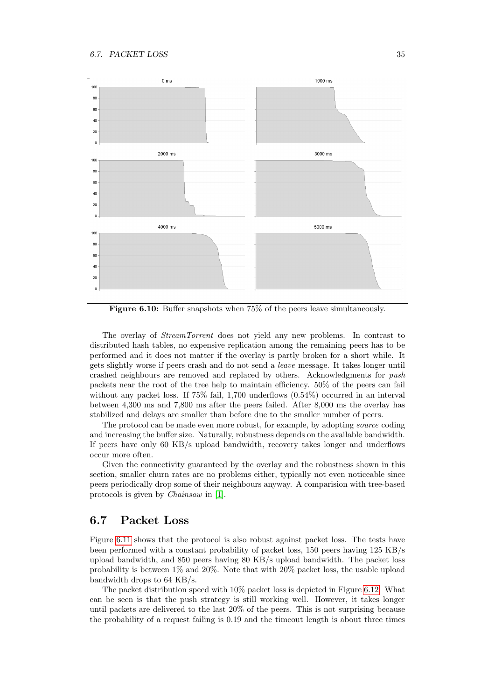<span id="page-36-1"></span>

Figure 6.10: Buffer snapshots when 75% of the peers leave simultaneously.

The overlay of StreamTorrent does not yield any new problems. In contrast to distributed hash tables, no expensive replication among the remaining peers has to be performed and it does not matter if the overlay is partly broken for a short while. It gets slightly worse if peers crash and do not send a leave message. It takes longer until crashed neighbours are removed and replaced by others. Acknowledgments for push packets near the root of the tree help to maintain efficiency. 50% of the peers can fail without any packet loss. If 75% fail, 1,700 underflows (0.54%) occurred in an interval between 4,300 ms and 7,800 ms after the peers failed. After 8,000 ms the overlay has stabilized and delays are smaller than before due to the smaller number of peers.

The protocol can be made even more robust, for example, by adopting source coding and increasing the buffer size. Naturally, robustness depends on the available bandwidth. If peers have only 60 KB/s upload bandwidth, recovery takes longer and underflows occur more often.

Given the connectivity guaranteed by the overlay and the robustness shown in this section, smaller churn rates are no problems either, typically not even noticeable since peers periodically drop some of their neighbours anyway. A comparision with tree-based protocols is given by Chainsaw in [\[1\]](#page-58-0).

#### <span id="page-36-0"></span>6.7 Packet Loss

Figure [6.11](#page-37-1) shows that the protocol is also robust against packet loss. The tests have been performed with a constant probability of packet loss, 150 peers having 125 KB/s upload bandwidth, and 850 peers having 80 KB/s upload bandwidth. The packet loss probability is between 1% and 20%. Note that with 20% packet loss, the usable upload bandwidth drops to 64 KB/s.

The packet distribution speed with 10% packet loss is depicted in Figure [6.12.](#page-37-2) What can be seen is that the push strategy is still working well. However, it takes longer until packets are delivered to the last 20% of the peers. This is not surprising because the probability of a request failing is 0.19 and the timeout length is about three times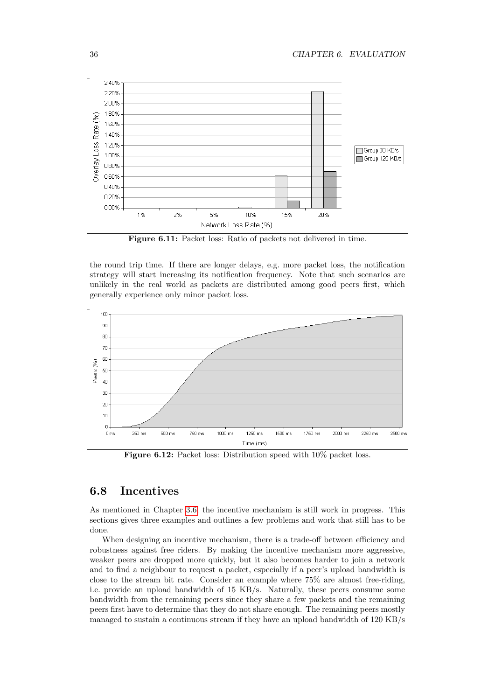<span id="page-37-1"></span>

Figure 6.11: Packet loss: Ratio of packets not delivered in time.

the round trip time. If there are longer delays, e.g. more packet loss, the notification strategy will start increasing its notification frequency. Note that such scenarios are unlikely in the real world as packets are distributed among good peers first, which generally experience only minor packet loss.

<span id="page-37-2"></span>

Figure 6.12: Packet loss: Distribution speed with 10% packet loss.

## <span id="page-37-0"></span>6.8 Incentives

As mentioned in Chapter [3.6,](#page-17-0) the incentive mechanism is still work in progress. This sections gives three examples and outlines a few problems and work that still has to be done.

When designing an incentive mechanism, there is a trade-off between efficiency and robustness against free riders. By making the incentive mechanism more aggressive, weaker peers are dropped more quickly, but it also becomes harder to join a network and to find a neighbour to request a packet, especially if a peer's upload bandwidth is close to the stream bit rate. Consider an example where 75% are almost free-riding, i.e. provide an upload bandwidth of 15 KB/s. Naturally, these peers consume some bandwidth from the remaining peers since they share a few packets and the remaining peers first have to determine that they do not share enough. The remaining peers mostly managed to sustain a continuous stream if they have an upload bandwidth of 120 KB/s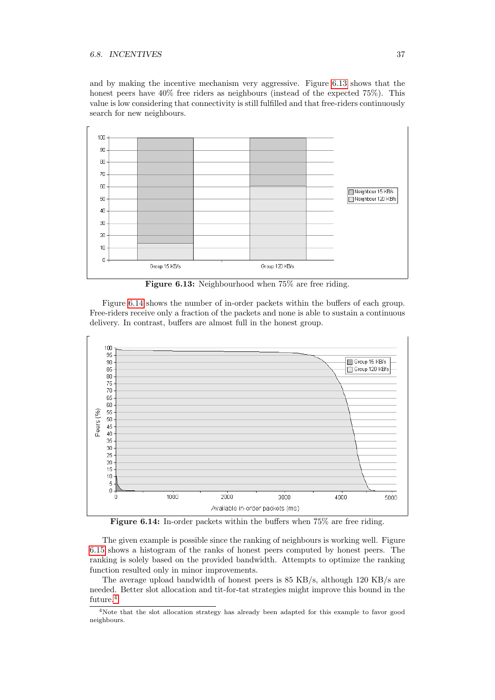#### 6.8. INCENTIVES 37

and by making the incentive mechanism very aggressive. Figure [6.13](#page-38-0) shows that the honest peers have  $40\%$  free riders as neighbours (instead of the expected  $75\%$ ). This value is low considering that connectivity is still fulfilled and that free-riders continuously search for new neighbours.

<span id="page-38-0"></span>

Figure 6.13: Neighbourhood when 75% are free riding.

Figure [6.14](#page-38-1) shows the number of in-order packets within the buffers of each group. Free-riders receive only a fraction of the packets and none is able to sustain a continuous delivery. In contrast, buffers are almost full in the honest group.

<span id="page-38-1"></span>

Figure 6.14: In-order packets within the buffers when 75% are free riding.

The given example is possible since the ranking of neighbours is working well. Figure [6.15](#page-39-0) shows a histogram of the ranks of honest peers computed by honest peers. The ranking is solely based on the provided bandwidth. Attempts to optimize the ranking function resulted only in minor improvements.

The average upload bandwidth of honest peers is 85 KB/s, although 120 KB/s are needed. Better slot allocation and tit-for-tat strategies might improve this bound in the future.<sup>[4](#page-38-2)</sup>

<span id="page-38-2"></span><sup>4</sup>Note that the slot allocation strategy has already been adapted for this example to favor good neighbours.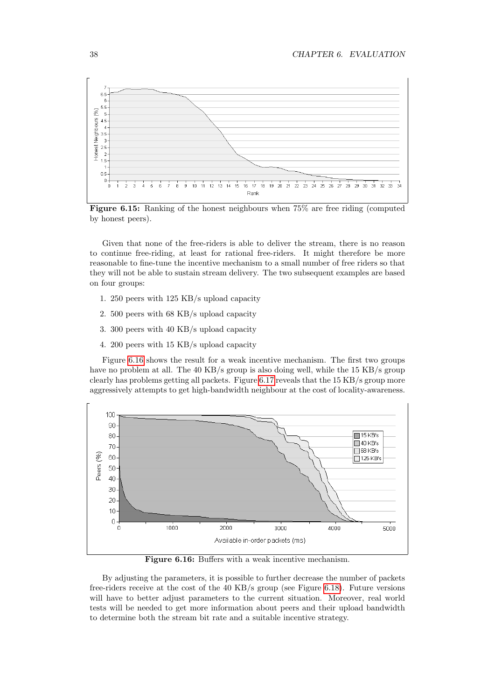<span id="page-39-0"></span>

Figure 6.15: Ranking of the honest neighbours when 75% are free riding (computed by honest peers).

Given that none of the free-riders is able to deliver the stream, there is no reason to continue free-riding, at least for rational free-riders. It might therefore be more reasonable to fine-tune the incentive mechanism to a small number of free riders so that they will not be able to sustain stream delivery. The two subsequent examples are based on four groups:

- 1. 250 peers with 125 KB/s upload capacity
- 2. 500 peers with 68 KB/s upload capacity
- 3. 300 peers with 40 KB/s upload capacity
- 4. 200 peers with 15 KB/s upload capacity

Figure [6.16](#page-39-1) shows the result for a weak incentive mechanism. The first two groups have no problem at all. The 40 KB/s group is also doing well, while the 15 KB/s group clearly has problems getting all packets. Figure [6.17](#page-40-0) reveals that the 15 KB/s group more aggressively attempts to get high-bandwidth neighbour at the cost of locality-awareness.

<span id="page-39-1"></span>

Figure 6.16: Buffers with a weak incentive mechanism.

By adjusting the parameters, it is possible to further decrease the number of packets free-riders receive at the cost of the 40 KB/s group (see Figure [6.18\)](#page-40-1). Future versions will have to better adjust parameters to the current situation. Moreover, real world tests will be needed to get more information about peers and their upload bandwidth to determine both the stream bit rate and a suitable incentive strategy.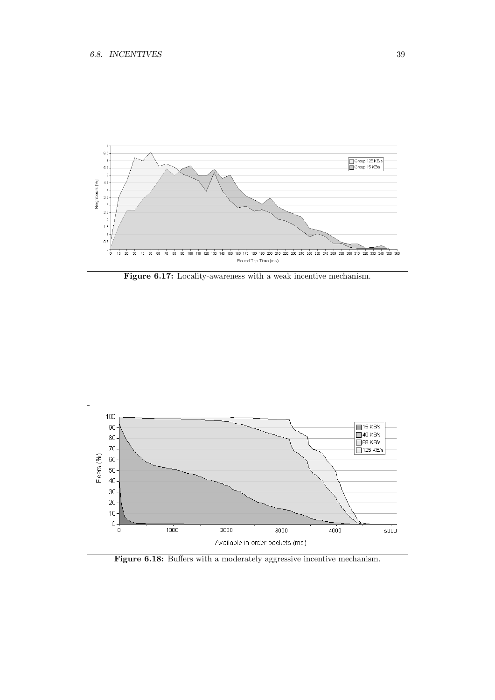<span id="page-40-0"></span>

Figure 6.17: Locality-awareness with a weak incentive mechanism.

<span id="page-40-1"></span>

Figure 6.18: Buffers with a moderately aggressive incentive mechanism.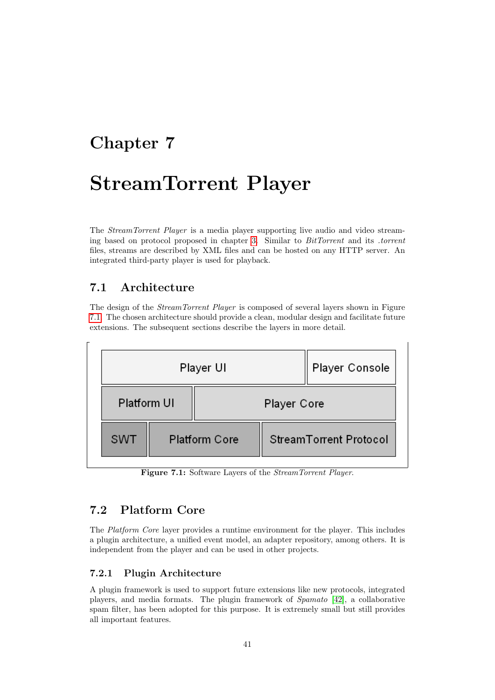## <span id="page-42-0"></span>Chapter 7

# StreamTorrent Player

The StreamTorrent Player is a media player supporting live audio and video streaming based on protocol proposed in chapter [3.](#page-14-0) Similar to BitTorrent and its .torrent files, streams are described by XML files and can be hosted on any HTTP server. An integrated third-party player is used for playback.

## <span id="page-42-1"></span>7.1 Architecture

The design of the *StreamTorrent Player* is composed of several layers shown in Figure [7.1.](#page-42-4) The chosen architecture should provide a clean, modular design and facilitate future extensions. The subsequent sections describe the layers in more detail.

<span id="page-42-4"></span>

Figure 7.1: Software Layers of the StreamTorrent Player.

## <span id="page-42-2"></span>7.2 Platform Core

The Platform Core layer provides a runtime environment for the player. This includes a plugin architecture, a unified event model, an adapter repository, among others. It is independent from the player and can be used in other projects.

### <span id="page-42-3"></span>7.2.1 Plugin Architecture

A plugin framework is used to support future extensions like new protocols, integrated players, and media formats. The plugin framework of Spamato [\[42\]](#page-60-9), a collaborative spam filter, has been adopted for this purpose. It is extremely small but still provides all important features.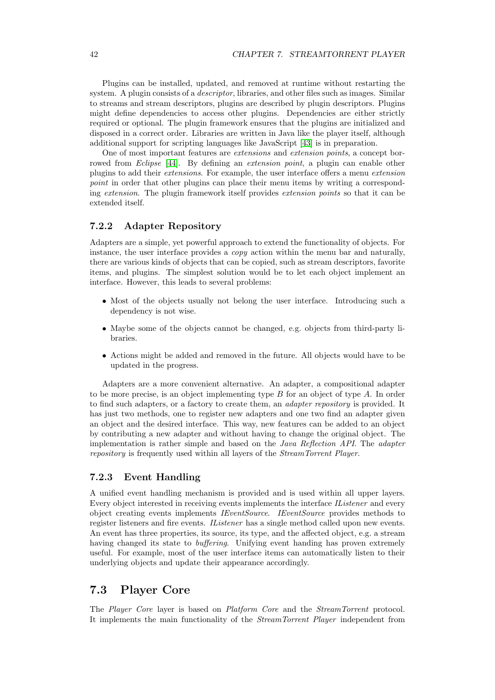Plugins can be installed, updated, and removed at runtime without restarting the system. A plugin consists of a *descriptor*, libraries, and other files such as images. Similar to streams and stream descriptors, plugins are described by plugin descriptors. Plugins might define dependencies to access other plugins. Dependencies are either strictly required or optional. The plugin framework ensures that the plugins are initialized and disposed in a correct order. Libraries are written in Java like the player itself, although additional support for scripting languages like JavaScript [\[43\]](#page-60-10) is in preparation.

One of most important features are extensions and extension points, a concept borrowed from *Eclipse* [\[44\]](#page-60-11). By defining an *extension point*, a plugin can enable other plugins to add their extensions. For example, the user interface offers a menu extension point in order that other plugins can place their menu items by writing a corresponding extension. The plugin framework itself provides extension points so that it can be extended itself.

#### <span id="page-43-0"></span>7.2.2 Adapter Repository

Adapters are a simple, yet powerful approach to extend the functionality of objects. For instance, the user interface provides a  $covq$  action within the menu bar and naturally, there are various kinds of objects that can be copied, such as stream descriptors, favorite items, and plugins. The simplest solution would be to let each object implement an interface. However, this leads to several problems:

- Most of the objects usually not belong the user interface. Introducing such a dependency is not wise.
- Maybe some of the objects cannot be changed, e.g. objects from third-party li**braries**
- Actions might be added and removed in the future. All objects would have to be updated in the progress.

Adapters are a more convenient alternative. An adapter, a compositional adapter to be more precise, is an object implementing type B for an object of type A. In order to find such adapters, or a factory to create them, an adapter repository is provided. It has just two methods, one to register new adapters and one two find an adapter given an object and the desired interface. This way, new features can be added to an object by contributing a new adapter and without having to change the original object. The implementation is rather simple and based on the *Java Reflection API*. The *adapter* repository is frequently used within all layers of the StreamTorrent Player.

#### <span id="page-43-1"></span>7.2.3 Event Handling

A unified event handling mechanism is provided and is used within all upper layers. Every object interested in receiving events implements the interface IListener and every object creating events implements IEventSource. IEventSource provides methods to register listeners and fire events. IListener has a single method called upon new events. An event has three properties, its source, its type, and the affected object, e.g. a stream having changed its state to buffering. Unifying event handing has proven extremely useful. For example, most of the user interface items can automatically listen to their underlying objects and update their appearance accordingly.

### <span id="page-43-2"></span>7.3 Player Core

The Player Core layer is based on Platform Core and the StreamTorrent protocol. It implements the main functionality of the StreamTorrent Player independent from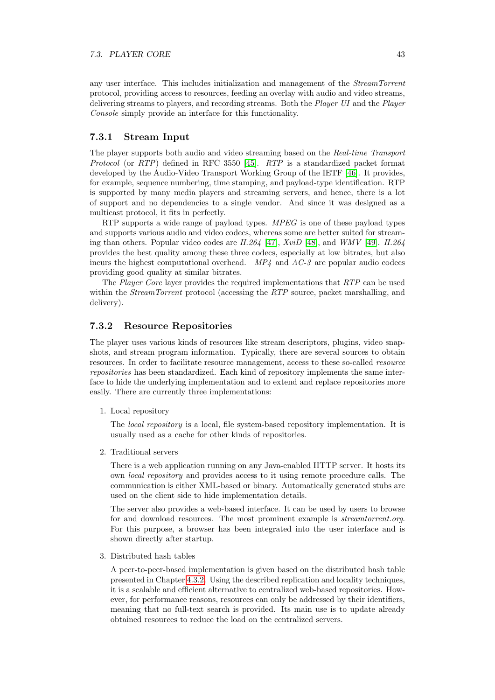any user interface. This includes initialization and management of the StreamTorrent protocol, providing access to resources, feeding an overlay with audio and video streams, delivering streams to players, and recording streams. Both the Player UI and the Player Console simply provide an interface for this functionality.

#### <span id="page-44-0"></span>7.3.1 Stream Input

The player supports both audio and video streaming based on the Real-time Transport Protocol (or RTP) defined in RFC 3550 [\[45\]](#page-60-12). RTP is a standardized packet format developed by the Audio-Video Transport Working Group of the IETF [\[46\]](#page-60-13). It provides, for example, sequence numbering, time stamping, and payload-type identification. RTP is supported by many media players and streaming servers, and hence, there is a lot of support and no dependencies to a single vendor. And since it was designed as a multicast protocol, it fits in perfectly.

RTP supports a wide range of payload types. MPEG is one of these payload types and supports various audio and video codecs, whereas some are better suited for streaming than others. Popular video codes are  $H.264$  [\[47\]](#page-60-14),  $XviD$  [\[48\]](#page-60-15), and  $WMV$  [\[49\]](#page-60-16).  $H.264$ provides the best quality among these three codecs, especially at low bitrates, but also incurs the highest computational overhead.  $MP_4$  and  $AC-3$  are popular audio codecs providing good quality at similar bitrates.

The Player Core layer provides the required implementations that RTP can be used within the *StreamTorrent* protocol (accessing the RTP source, packet marshalling, and delivery).

#### <span id="page-44-1"></span>7.3.2 Resource Repositories

The player uses various kinds of resources like stream descriptors, plugins, video snapshots, and stream program information. Typically, there are several sources to obtain resources. In order to facilitate resource management, access to these so-called resource repositories has been standardized. Each kind of repository implements the same interface to hide the underlying implementation and to extend and replace repositories more easily. There are currently three implementations:

1. Local repository

The local repository is a local, file system-based repository implementation. It is usually used as a cache for other kinds of repositories.

2. Traditional servers

There is a web application running on any Java-enabled HTTP server. It hosts its own local repository and provides access to it using remote procedure calls. The communication is either XML-based or binary. Automatically generated stubs are used on the client side to hide implementation details.

The server also provides a web-based interface. It can be used by users to browse for and download resources. The most prominent example is *streamtorrent.org*. For this purpose, a browser has been integrated into the user interface and is shown directly after startup.

3. Distributed hash tables

A peer-to-peer-based implementation is given based on the distributed hash table presented in Chapter [4.3.2.](#page-25-1) Using the described replication and locality techniques, it is a scalable and efficient alternative to centralized web-based repositories. However, for performance reasons, resources can only be addressed by their identifiers, meaning that no full-text search is provided. Its main use is to update already obtained resources to reduce the load on the centralized servers.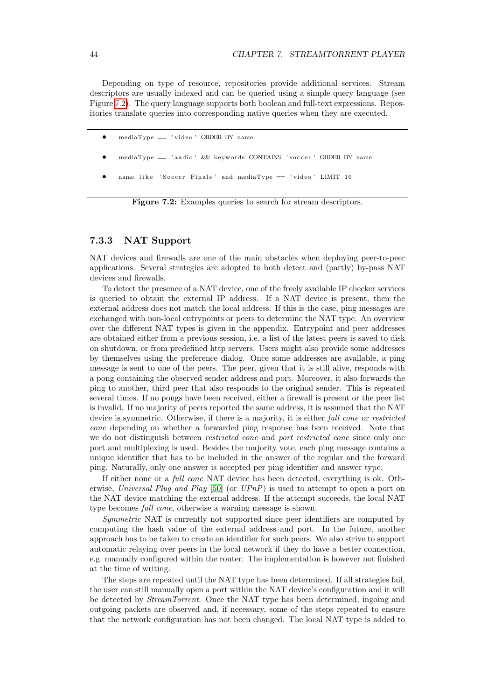Depending on type of resource, repositories provide additional services. Stream descriptors are usually indexed and can be queried using a simple query language (see Figure [7.2\)](#page-45-1). The query language supports both boolean and full-text expressions. Repositories translate queries into corresponding native queries when they are executed.

- <span id="page-45-1"></span>• mediaType == ' v id eo ' ORDER BY name
- mediaType == 'audio' && keywords CONTAINS 'soccer' ORDER BY name
- name like 'Soccer Finals' and mediaType == 'video' LIMIT 10

Figure 7.2: Examples queries to search for stream descriptors.

#### <span id="page-45-0"></span>7.3.3 NAT Support

NAT devices and firewalls are one of the main obstacles when deploying peer-to-peer applications. Several strategies are adopted to both detect and (partly) by-pass NAT devices and firewalls.

To detect the presence of a NAT device, one of the freely available IP checker services is queried to obtain the external IP address. If a NAT device is present, then the external address does not match the local address. If this is the case, ping messages are exchanged with non-local entrypoints or peers to determine the NAT type. An overview over the different NAT types is given in the appendix. Entrypoint and peer addresses are obtained either from a previous session, i.e. a list of the latest peers is saved to disk on shutdown, or from predefined http servers. Users might also provide some addresses by themselves using the preference dialog. Once some addresses are available, a ping message is sent to one of the peers. The peer, given that it is still alive, responds with a pong containing the observed sender address and port. Moreover, it also forwards the ping to another, third peer that also responds to the original sender. This is repeated several times. If no pongs have been received, either a firewall is present or the peer list is invalid. If no majority of peers reported the same address, it is assumed that the NAT device is symmetric. Otherwise, if there is a majority, it is either *full cone* or *restricted* cone depending on whether a forwarded ping response has been received. Note that we do not distinguish between *restricted cone* and *port restricted cone* since only one port and multiplexing is used. Besides the majority vote, each ping message contains a unique identifier that has to be included in the answer of the regular and the forward ping. Naturally, only one answer is accepted per ping identifier and answer type.

If either none or a full cone NAT device has been detected, everything is ok. Otherwise, Universal Plug and Play  $[50]$  (or  $UPnP$ ) is used to attempt to open a port on the NAT device matching the external address. If the attempt succeeds, the local NAT type becomes full cone, otherwise a warning message is shown.

Symmetric NAT is currently not supported since peer identifiers are computed by computing the hash value of the external address and port. In the future, another approach has to be taken to create an identifier for such peers. We also strive to support automatic relaying over peers in the local network if they do have a better connection, e.g. manually configured within the router. The implementation is however not finished at the time of writing.

The steps are repeated until the NAT type has been determined. If all strategies fail, the user can still manually open a port within the NAT device's configuration and it will be detected by StreamTorrent. Once the NAT type has been determined, ingoing and outgoing packets are observed and, if necessary, some of the steps repeated to ensure that the network configuration has not been changed. The local NAT type is added to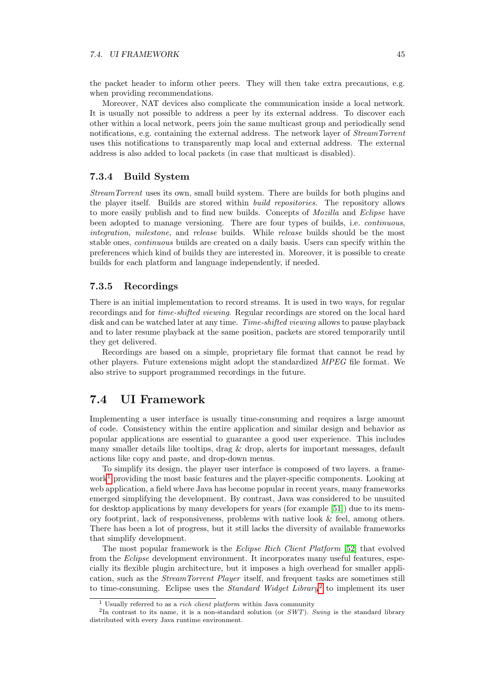the packet header to inform other peers. They will then take extra precautions, e.g. when providing recommendations.

Moreover, NAT devices also complicate the communication inside a local network. It is usually not possible to address a peer by its external address. To discover each other within a local network, peers join the same multicast group and periodically send notifications, e.g. containing the external address. The network layer of StreamTorrent uses this notifications to transparently map local and external address. The external address is also added to local packets (in case that multicast is disabled).

#### <span id="page-46-0"></span>7.3.4 Build System

StreamTorrent uses its own, small build system. There are builds for both plugins and the player itself. Builds are stored within build repositories. The repository allows to more easily publish and to find new builds. Concepts of Mozilla and Eclipse have been adopted to manage versioning. There are four types of builds, i.e. continuous, integration, milestone, and release builds. While release builds should be the most stable ones, continuous builds are created on a daily basis. Users can specify within the preferences which kind of builds they are interested in. Moreover, it is possible to create builds for each platform and language independently, if needed.

#### <span id="page-46-1"></span>7.3.5 Recordings

There is an initial implementation to record streams. It is used in two ways, for regular recordings and for time-shifted viewing. Regular recordings are stored on the local hard disk and can be watched later at any time. Time-shifted viewing allows to pause playback and to later resume playback at the same position, packets are stored temporarily until they get delivered.

Recordings are based on a simple, proprietary file format that cannot be read by other players. Future extensions might adopt the standardized MPEG file format. We also strive to support programmed recordings in the future.

## <span id="page-46-2"></span>7.4 UI Framework

Implementing a user interface is usually time-consuming and requires a large amount of code. Consistency within the entire application and similar design and behavior as popular applications are essential to guarantee a good user experience. This includes many smaller details like tooltips, drag  $\&$  drop, alerts for important messages, default actions like copy and paste, and drop-down menus.

To simplify its design, the player user interface is composed of two layers. a frame-work<sup>[1](#page-46-3)</sup> providing the most basic features and the player-specific components. Looking at web application, a field where Java has become popular in recent years, many frameworks emerged simplifying the development. By contrast, Java was considered to be unsuited for desktop applications by many developers for years (for example [\[51\]](#page-60-18)) due to its memory footprint, lack of responsiveness, problems with native look & feel, among others. There has been a lot of progress, but it still lacks the diversity of available frameworks that simplify development.

The most popular framework is the Eclipse Rich Client Platform [\[52\]](#page-60-19) that evolved from the Eclipse development environment. It incorporates many useful features, especially its flexible plugin architecture, but it imposes a high overhead for smaller application, such as the *StreamTorrent Player* itself, and frequent tasks are sometimes still to time-consuming. Eclipse uses the *Standard Widget Library*<sup>[2](#page-46-4)</sup> to implement its user

<span id="page-46-4"></span><span id="page-46-3"></span><sup>&</sup>lt;sup>1</sup> Usually referred to as a *rich client platform* within Java community

<sup>&</sup>lt;sup>2</sup>In contrast to its name, it is a non-standard solution (or  $SWT$ ). Swing is the standard library distributed with every Java runtime environment.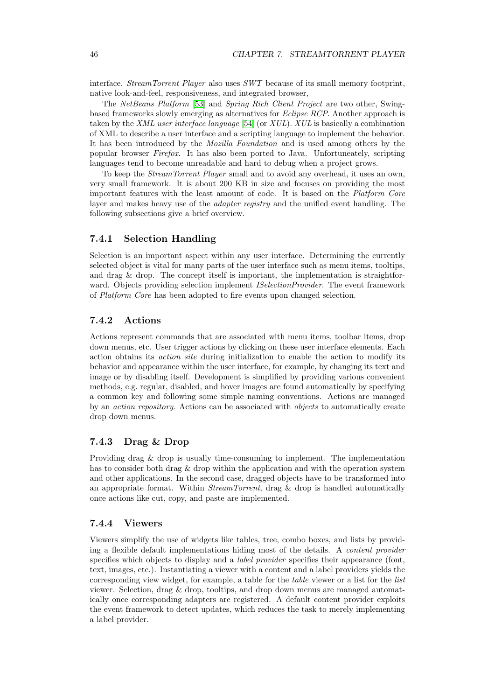interface. StreamTorrent Player also uses SWT because of its small memory footprint, native look-and-feel, responsiveness, and integrated browser,

The NetBeans Platform [\[53\]](#page-60-20) and Spring Rich Client Project are two other, Swingbased frameworks slowly emerging as alternatives for Eclipse RCP. Another approach is taken by the XML user interface language [\[54\]](#page-60-21) (or XUL). XUL is basically a combination of XML to describe a user interface and a scripting language to implement the behavior. It has been introduced by the Mozilla Foundation and is used among others by the popular browser Firefox. It has also been ported to Java. Unfortuneately, scripting languages tend to become unreadable and hard to debug when a project grows.

To keep the StreamTorrent Player small and to avoid any overhead, it uses an own, very small framework. It is about 200 KB in size and focuses on providing the most important features with the least amount of code. It is based on the Platform Core layer and makes heavy use of the *adapter registry* and the unified event handling. The following subsections give a brief overview.

#### <span id="page-47-0"></span>7.4.1 Selection Handling

Selection is an important aspect within any user interface. Determining the currently selected object is vital for many parts of the user interface such as menu items, tooltips, and drag & drop. The concept itself is important, the implementation is straightforward. Objects providing selection implement *ISelectionProvider*. The event framework of Platform Core has been adopted to fire events upon changed selection.

#### <span id="page-47-1"></span>7.4.2 Actions

Actions represent commands that are associated with menu items, toolbar items, drop down menus, etc. User trigger actions by clicking on these user interface elements. Each action obtains its action site during initialization to enable the action to modify its behavior and appearance within the user interface, for example, by changing its text and image or by disabling itself. Development is simplified by providing various convenient methods, e.g. regular, disabled, and hover images are found automatically by specifying a common key and following some simple naming conventions. Actions are managed by an *action repository*. Actions can be associated with *objects* to automatically create drop down menus.

#### <span id="page-47-2"></span>7.4.3 Drag & Drop

Providing drag & drop is usually time-consuming to implement. The implementation has to consider both drag & drop within the application and with the operation system and other applications. In the second case, dragged objects have to be transformed into an appropriate format. Within *StreamTorrent*, drag  $\&$  drop is handled automatically once actions like cut, copy, and paste are implemented.

#### <span id="page-47-3"></span>7.4.4 Viewers

Viewers simplify the use of widgets like tables, tree, combo boxes, and lists by providing a flexible default implementations hiding most of the details. A content provider specifies which objects to display and a *label provider* specifies their appearance (font, text, images, etc.). Instantiating a viewer with a content and a label providers yields the corresponding view widget, for example, a table for the table viewer or a list for the list viewer. Selection, drag & drop, tooltips, and drop down menus are managed automatically once corresponding adapters are registered. A default content provider exploits the event framework to detect updates, which reduces the task to merely implementing a label provider.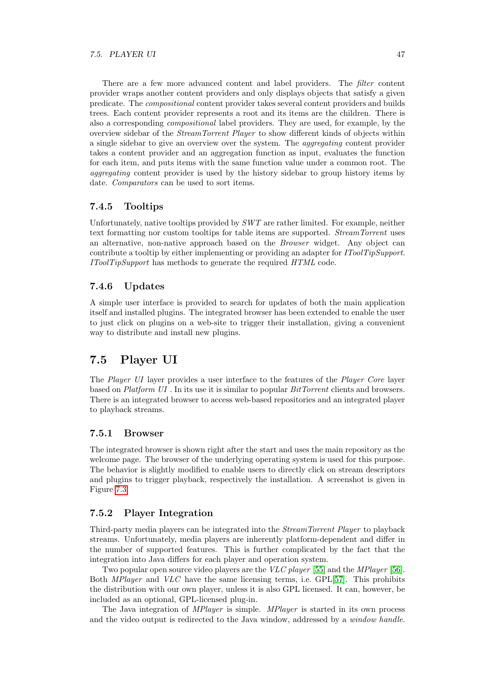There are a few more advanced content and label providers. The *filter* content provider wraps another content providers and only displays objects that satisfy a given predicate. The compositional content provider takes several content providers and builds trees. Each content provider represents a root and its items are the children. There is also a corresponding compositional label providers. They are used, for example, by the overview sidebar of the StreamTorrent Player to show different kinds of objects within a single sidebar to give an overview over the system. The aggregating content provider takes a content provider and an aggregation function as input, evaluates the function for each item, and puts items with the same function value under a common root. The aggregating content provider is used by the history sidebar to group history items by date. *Comparators* can be used to sort items.

#### <span id="page-48-0"></span>7.4.5 Tooltips

Unfortunately, native tooltips provided by  $SWT$  are rather limited. For example, neither text formatting nor custom tooltips for table items are supported. StreamTorrent uses an alternative, non-native approach based on the Browser widget. Any object can contribute a tooltip by either implementing or providing an adapter for *IToolTipSupport*. IToolTipSupport has methods to generate the required HTML code.

#### <span id="page-48-1"></span>7.4.6 Updates

A simple user interface is provided to search for updates of both the main application itself and installed plugins. The integrated browser has been extended to enable the user to just click on plugins on a web-site to trigger their installation, giving a convenient way to distribute and install new plugins.

## <span id="page-48-2"></span>7.5 Player UI

The Player UI layer provides a user interface to the features of the Player Core layer based on Platform UI . In its use it is similar to popular BitTorrent clients and browsers. There is an integrated browser to access web-based repositories and an integrated player to playback streams.

#### <span id="page-48-3"></span>7.5.1 Browser

The integrated browser is shown right after the start and uses the main repository as the welcome page. The browser of the underlying operating system is used for this purpose. The behavior is slightly modified to enable users to directly click on stream descriptors and plugins to trigger playback, respectively the installation. A screenshot is given in Figure [7.3.](#page-49-1)

#### <span id="page-48-4"></span>7.5.2 Player Integration

Third-party media players can be integrated into the StreamTorrent Player to playback streams. Unfortunately, media players are inherently platform-dependent and differ in the number of supported features. This is further complicated by the fact that the integration into Java differs for each player and operation system.

Two popular open source video players are the *VLC player* [\[55\]](#page-60-22) and the *MPlayer* [\[56\]](#page-60-23). Both MPlayer and VLC have the same licensing terms, i.e. GPL[\[57\]](#page-60-24). This prohibits the distribution with our own player, unless it is also GPL licensed. It can, however, be included as an optional, GPL-licensed plug-in.

The Java integration of MPlayer is simple. MPlayer is started in its own process and the video output is redirected to the Java window, addressed by a window handle.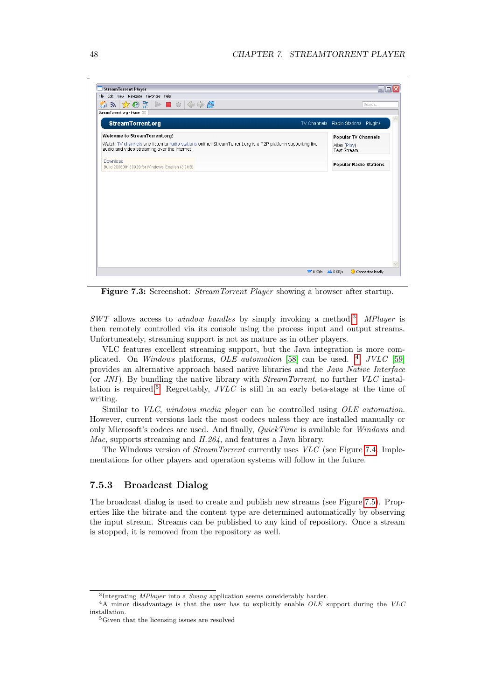<span id="page-49-1"></span>

Figure 7.3: Screenshot: StreamTorrent Player showing a browser after startup.

SWT allows access to window handles by simply invoking a method.[3](#page-49-2) MPlayer is then remotely controlled via its console using the process input and output streams. Unfortuneately, streaming support is not as mature as in other players.

VLC features excellent streaming support, but the Java integration is more complicated. On Windows platforms,  $OLE$  *automation* [\[58\]](#page-60-25) can be used. <sup>[4](#page-49-3)</sup> JVLC [\[59\]](#page-60-26) provides an alternative approach based native libraries and the Java Native Interface (or JNI). By bundling the native library with StreamTorrent, no further VLC instal-lation is required.<sup>[5](#page-49-4)</sup> Regrettably,  $JVLC$  is still in an early beta-stage at the time of writing.

Similar to VLC, windows media player can be controlled using OLE automation. However, current versions lack the most codecs unless they are installed manually or only Microsoft's codecs are used. And finally, QuickTime is available for Windows and Mac, supports streaming and H.264, and features a Java library.

The Windows version of StreamTorrent currently uses VLC (see Figure [7.4.](#page-50-1) Implementations for other players and operation systems will follow in the future.

#### <span id="page-49-0"></span>7.5.3 Broadcast Dialog

The broadcast dialog is used to create and publish new streams (see Figure [7.5\)](#page-50-2). Properties like the bitrate and the content type are determined automatically by observing the input stream. Streams can be published to any kind of repository. Once a stream is stopped, it is removed from the repository as well.

<span id="page-49-3"></span><span id="page-49-2"></span><sup>&</sup>lt;sup>3</sup>Integrating *MPlayer* into a *Swing* application seems considerably harder.

 $4A$  minor disadvantage is that the user has to explicitly enable OLE support during the VLC installation.

<span id="page-49-4"></span> ${\rm ^5}$  Given that the licensing issues are resolved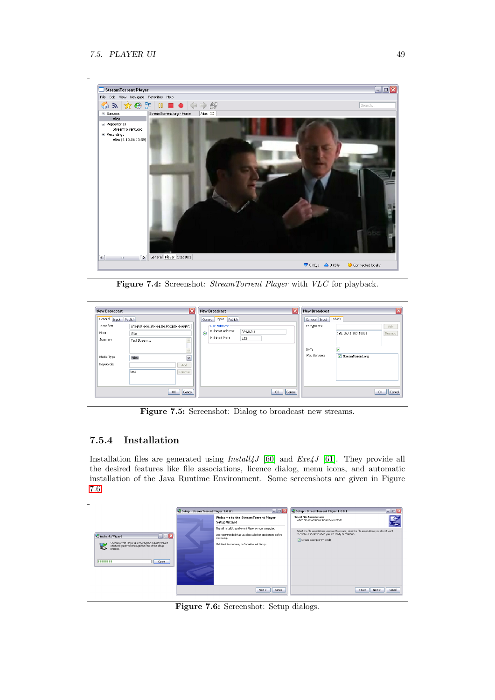<span id="page-50-1"></span>

Figure 7.4: Screenshot: StreamTorrent Player with VLC for playback.

<span id="page-50-2"></span>

| <b>New Broadcast</b>  |                                  | 反      |         | <b>New Broadcast</b>            | Ιx     |      | <b>New Broadcast</b> |                         | ×                   |
|-----------------------|----------------------------------|--------|---------|---------------------------------|--------|------|----------------------|-------------------------|---------------------|
| General Input Publish |                                  |        |         | General Input Publish           |        |      | General Input        | Publish                 |                     |
| Identifier:           | LPJHAIFHMHLJEMNHLIMLFOOBJMMHNNFG |        |         | -RTP Multicast                  |        |      | Entrypoints:         |                         | Add                 |
| Name:                 | Alias                            |        | $\odot$ | Multicast Address:<br>224.0.0.1 |        |      |                      | 192.168.1.103:10001     | Remove <sup>1</sup> |
| Summary               | Test Stream                      |        |         | Multicast Port:<br>1234         |        |      |                      |                         |                     |
|                       |                                  |        |         |                                 |        | DHT: |                      | $\overline{\mathbf{v}}$ |                     |
| Media Type            | Video                            | $\sim$ |         |                                 |        |      | Web Servers:         | StreamTorrent.org       |                     |
| Keywords:             |                                  | Add    |         |                                 |        |      |                      |                         |                     |
|                       | test                             | Remove |         |                                 |        |      |                      |                         |                     |
|                       |                                  |        |         |                                 |        |      |                      |                         |                     |
|                       |                                  |        |         |                                 |        |      |                      |                         |                     |
|                       | OK.                              | Cancel |         | OK                              | Cancel |      |                      |                         | <b>OK</b><br>Cancel |

Figure 7.5: Screenshot: Dialog to broadcast new streams.

### <span id="page-50-0"></span>7.5.4 Installation

Installation files are generated using  $Install4J$  [\[60\]](#page-61-0) and  $Exe4J$  [\[61\]](#page-61-1). They provide all the desired features like file associations, licence dialog, menu icons, and automatic installation of the Java Runtime Environment. Some screenshots are given in Figure [7.6.](#page-50-3)

<span id="page-50-3"></span>

|                                                                                                                                                                                                       | Setup - StreamTorrent Player 1.0 M1 | $\Box$ ex                                                                                                                                                                                                                                                             | $\Box$ $\Box$ $\times$<br>Setup - StreamTorrent Player 1.0 M1                                                                                                                                                                                                                                        |
|-------------------------------------------------------------------------------------------------------------------------------------------------------------------------------------------------------|-------------------------------------|-----------------------------------------------------------------------------------------------------------------------------------------------------------------------------------------------------------------------------------------------------------------------|------------------------------------------------------------------------------------------------------------------------------------------------------------------------------------------------------------------------------------------------------------------------------------------------------|
| $\blacksquare \boxdot \boxtimes$<br>install4j Wizard<br>StreamTorrent Player is preparing the install4j Wizard<br>which will guide you through the rest of the setup<br>process<br>11111111<br>Cancel |                                     | Welcome to the StreamTorrent Plaver<br>Setup Wizard<br>This will install StreamTorrent Player on your computer.<br>It is recommended that you dose all other applications before<br>continuing.<br>Click Next to continue, or Cancel to exit Setup.<br>Cancel<br>Next | <b>Select File Associations</b><br>Which file associations should be created?<br>Select the file associations you want to create; clear the file associations you do not want<br>to create. Click Next when you are ready to continue.<br>V Stream Descriptor (*.swsd)<br>$<$ Back<br>Next<br>Cancel |

Figure 7.6: Screenshot: Setup dialogs.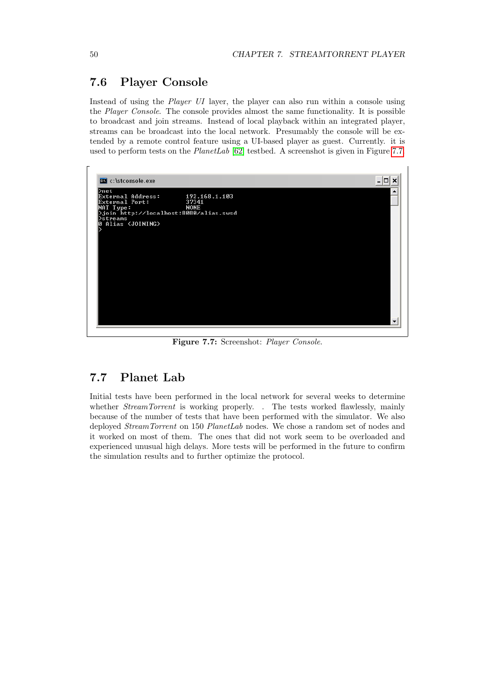## <span id="page-51-0"></span>7.6 Player Console

Instead of using the Player UI layer, the player can also run within a console using the Player Console. The console provides almost the same functionality. It is possible to broadcast and join streams. Instead of local playback within an integrated player, streams can be broadcast into the local network. Presumably the console will be extended by a remote control feature using a UI-based player as guest. Currently. it is used to perform tests on the  $PlanetLab$  [\[62\]](#page-61-2) testbed. A screenshot is given in Figure [7.7.](#page-51-2)

<span id="page-51-2"></span>

Figure 7.7: Screenshot: Player Console.

## <span id="page-51-1"></span>7.7 Planet Lab

Initial tests have been performed in the local network for several weeks to determine whether *StreamTorrent* is working properly. . The tests worked flawlessly, mainly because of the number of tests that have been performed with the simulator. We also deployed *StreamTorrent* on 150 *PlanetLab* nodes. We chose a random set of nodes and it worked on most of them. The ones that did not work seem to be overloaded and experienced unusual high delays. More tests will be performed in the future to confirm the simulation results and to further optimize the protocol.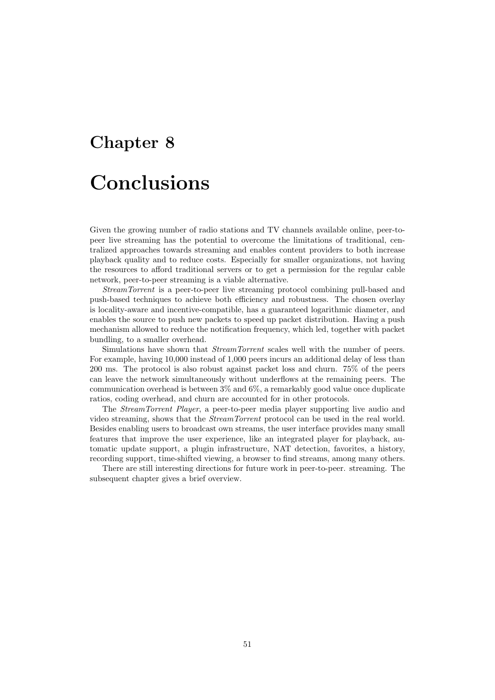## <span id="page-52-0"></span>Chapter 8

## Conclusions

Given the growing number of radio stations and TV channels available online, peer-topeer live streaming has the potential to overcome the limitations of traditional, centralized approaches towards streaming and enables content providers to both increase playback quality and to reduce costs. Especially for smaller organizations, not having the resources to afford traditional servers or to get a permission for the regular cable network, peer-to-peer streaming is a viable alternative.

StreamTorrent is a peer-to-peer live streaming protocol combining pull-based and push-based techniques to achieve both efficiency and robustness. The chosen overlay is locality-aware and incentive-compatible, has a guaranteed logarithmic diameter, and enables the source to push new packets to speed up packet distribution. Having a push mechanism allowed to reduce the notification frequency, which led, together with packet bundling, to a smaller overhead.

Simulations have shown that StreamTorrent scales well with the number of peers. For example, having 10,000 instead of 1,000 peers incurs an additional delay of less than 200 ms. The protocol is also robust against packet loss and churn. 75% of the peers can leave the network simultaneously without underflows at the remaining peers. The communication overhead is between 3% and 6%, a remarkably good value once duplicate ratios, coding overhead, and churn are accounted for in other protocols.

The StreamTorrent Player, a peer-to-peer media player supporting live audio and video streaming, shows that the StreamTorrent protocol can be used in the real world. Besides enabling users to broadcast own streams, the user interface provides many small features that improve the user experience, like an integrated player for playback, automatic update support, a plugin infrastructure, NAT detection, favorites, a history, recording support, time-shifted viewing, a browser to find streams, among many others.

There are still interesting directions for future work in peer-to-peer. streaming. The subsequent chapter gives a brief overview.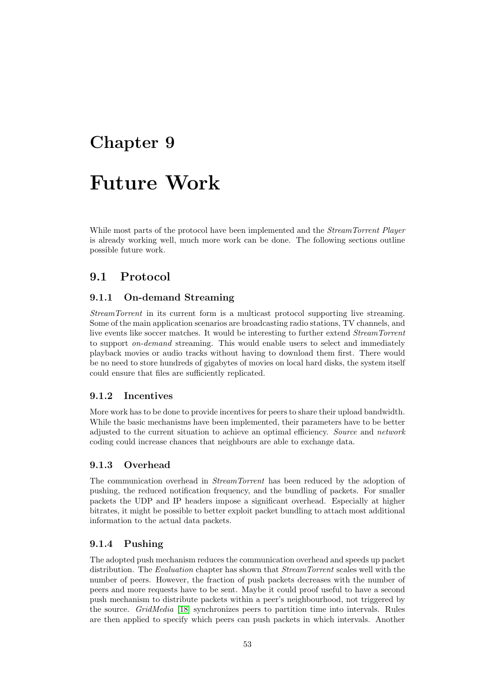## <span id="page-54-0"></span>Chapter 9

## Future Work

While most parts of the protocol have been implemented and the *StreamTorrent Player* is already working well, much more work can be done. The following sections outline possible future work.

## <span id="page-54-1"></span>9.1 Protocol

#### <span id="page-54-2"></span>9.1.1 On-demand Streaming

StreamTorrent in its current form is a multicast protocol supporting live streaming. Some of the main application scenarios are broadcasting radio stations, TV channels, and live events like soccer matches. It would be interesting to further extend StreamTorrent to support on-demand streaming. This would enable users to select and immediately playback movies or audio tracks without having to download them first. There would be no need to store hundreds of gigabytes of movies on local hard disks, the system itself could ensure that files are sufficiently replicated.

#### <span id="page-54-3"></span>9.1.2 Incentives

More work has to be done to provide incentives for peers to share their upload bandwidth. While the basic mechanisms have been implemented, their parameters have to be better adjusted to the current situation to achieve an optimal efficiency. Source and network coding could increase chances that neighbours are able to exchange data.

#### <span id="page-54-4"></span>9.1.3 Overhead

The communication overhead in StreamTorrent has been reduced by the adoption of pushing, the reduced notification frequency, and the bundling of packets. For smaller packets the UDP and IP headers impose a significant overhead. Especially at higher bitrates, it might be possible to better exploit packet bundling to attach most additional information to the actual data packets.

#### <span id="page-54-5"></span>9.1.4 Pushing

The adopted push mechanism reduces the communication overhead and speeds up packet distribution. The *Evaluation* chapter has shown that *StreamTorrent* scales well with the number of peers. However, the fraction of push packets decreases with the number of peers and more requests have to be sent. Maybe it could proof useful to have a second push mechanism to distribute packets within a peer's neighbourhood, not triggered by the source. GridMedia [\[18\]](#page-59-3) synchronizes peers to partition time into intervals. Rules are then applied to specify which peers can push packets in which intervals. Another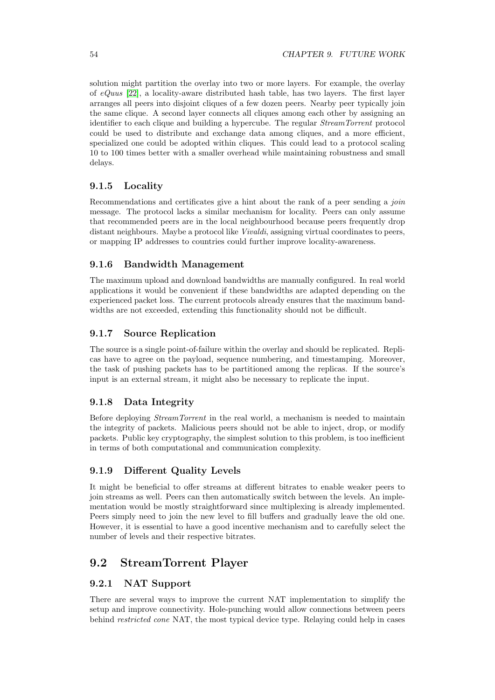solution might partition the overlay into two or more layers. For example, the overlay of  $eQuus$  [\[22\]](#page-59-7), a locality-aware distributed hash table, has two layers. The first layer arranges all peers into disjoint cliques of a few dozen peers. Nearby peer typically join the same clique. A second layer connects all cliques among each other by assigning an identifier to each clique and building a hypercube. The regular StreamTorrent protocol could be used to distribute and exchange data among cliques, and a more efficient, specialized one could be adopted within cliques. This could lead to a protocol scaling 10 to 100 times better with a smaller overhead while maintaining robustness and small delays.

#### <span id="page-55-0"></span>9.1.5 Locality

Recommendations and certificates give a hint about the rank of a peer sending a join message. The protocol lacks a similar mechanism for locality. Peers can only assume that recommended peers are in the local neighbourhood because peers frequently drop distant neighbours. Maybe a protocol like Vivaldi, assigning virtual coordinates to peers, or mapping IP addresses to countries could further improve locality-awareness.

#### <span id="page-55-1"></span>9.1.6 Bandwidth Management

The maximum upload and download bandwidths are manually configured. In real world applications it would be convenient if these bandwidths are adapted depending on the experienced packet loss. The current protocols already ensures that the maximum bandwidths are not exceeded, extending this functionality should not be difficult.

#### <span id="page-55-2"></span>9.1.7 Source Replication

The source is a single point-of-failure within the overlay and should be replicated. Replicas have to agree on the payload, sequence numbering, and timestamping. Moreover, the task of pushing packets has to be partitioned among the replicas. If the source's input is an external stream, it might also be necessary to replicate the input.

#### <span id="page-55-3"></span>9.1.8 Data Integrity

Before deploying StreamTorrent in the real world, a mechanism is needed to maintain the integrity of packets. Malicious peers should not be able to inject, drop, or modify packets. Public key cryptography, the simplest solution to this problem, is too inefficient in terms of both computational and communication complexity.

#### <span id="page-55-4"></span>9.1.9 Different Quality Levels

It might be beneficial to offer streams at different bitrates to enable weaker peers to join streams as well. Peers can then automatically switch between the levels. An implementation would be mostly straightforward since multiplexing is already implemented. Peers simply need to join the new level to fill buffers and gradually leave the old one. However, it is essential to have a good incentive mechanism and to carefully select the number of levels and their respective bitrates.

## <span id="page-55-5"></span>9.2 StreamTorrent Player

#### <span id="page-55-6"></span>9.2.1 NAT Support

There are several ways to improve the current NAT implementation to simplify the setup and improve connectivity. Hole-punching would allow connections between peers behind restricted cone NAT, the most typical device type. Relaying could help in cases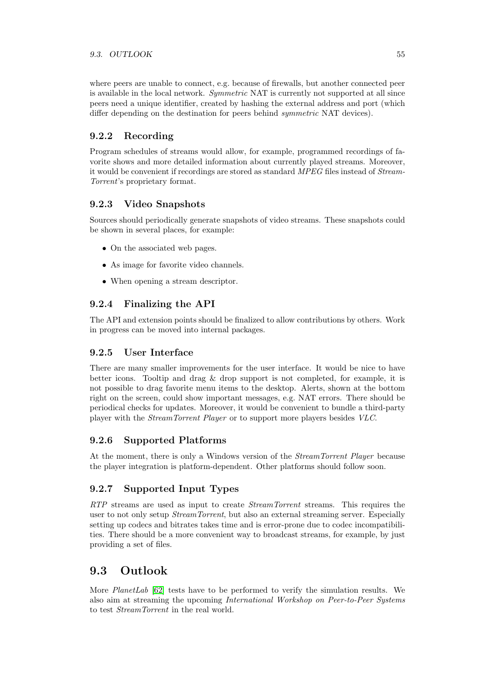where peers are unable to connect, e.g. because of firewalls, but another connected peer is available in the local network. Symmetric NAT is currently not supported at all since peers need a unique identifier, created by hashing the external address and port (which differ depending on the destination for peers behind symmetric NAT devices).

#### <span id="page-56-0"></span>9.2.2 Recording

Program schedules of streams would allow, for example, programmed recordings of favorite shows and more detailed information about currently played streams. Moreover, it would be convenient if recordings are stored as standard MPEG files instead of Stream-Torrent's proprietary format.

#### <span id="page-56-1"></span>9.2.3 Video Snapshots

Sources should periodically generate snapshots of video streams. These snapshots could be shown in several places, for example:

- On the associated web pages.
- As image for favorite video channels.
- When opening a stream descriptor.

#### <span id="page-56-2"></span>9.2.4 Finalizing the API

The API and extension points should be finalized to allow contributions by others. Work in progress can be moved into internal packages.

#### <span id="page-56-3"></span>9.2.5 User Interface

There are many smaller improvements for the user interface. It would be nice to have better icons. Tooltip and drag & drop support is not completed, for example, it is not possible to drag favorite menu items to the desktop. Alerts, shown at the bottom right on the screen, could show important messages, e.g. NAT errors. There should be periodical checks for updates. Moreover, it would be convenient to bundle a third-party player with the StreamTorrent Player or to support more players besides VLC.

#### <span id="page-56-4"></span>9.2.6 Supported Platforms

At the moment, there is only a Windows version of the StreamTorrent Player because the player integration is platform-dependent. Other platforms should follow soon.

#### <span id="page-56-5"></span>9.2.7 Supported Input Types

RTP streams are used as input to create *StreamTorrent* streams. This requires the user to not only setup *StreamTorrent*, but also an external streaming server. Especially setting up codecs and bitrates takes time and is error-prone due to codec incompatibilities. There should be a more convenient way to broadcast streams, for example, by just providing a set of files.

## <span id="page-56-6"></span>9.3 Outlook

More *PlanetLab* [\[62\]](#page-61-2) tests have to be performed to verify the simulation results. We also aim at streaming the upcoming International Workshop on Peer-to-Peer Systems to test StreamTorrent in the real world.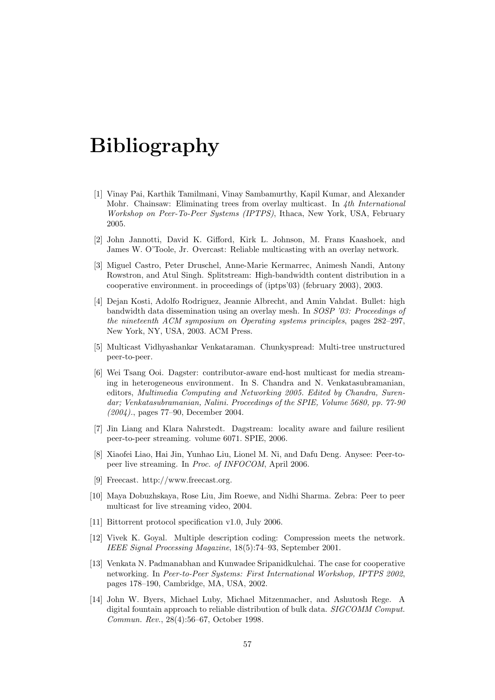# Bibliography

- <span id="page-58-0"></span>[1] Vinay Pai, Karthik Tamilmani, Vinay Sambamurthy, Kapil Kumar, and Alexander Mohr. Chainsaw: Eliminating trees from overlay multicast. In 4th International Workshop on Peer-To-Peer Systems (IPTPS), Ithaca, New York, USA, February 2005.
- <span id="page-58-1"></span>[2] John Jannotti, David K. Gifford, Kirk L. Johnson, M. Frans Kaashoek, and James W. O'Toole, Jr. Overcast: Reliable multicasting with an overlay network.
- <span id="page-58-2"></span>[3] Miguel Castro, Peter Druschel, Anne-Marie Kermarrec, Animesh Nandi, Antony Rowstron, and Atul Singh. Splitstream: High-bandwidth content distribution in a cooperative environment. in proceedings of (iptps'03) (february 2003), 2003.
- <span id="page-58-3"></span>[4] Dejan Kosti, Adolfo Rodriguez, Jeannie Albrecht, and Amin Vahdat. Bullet: high bandwidth data dissemination using an overlay mesh. In SOSP '03: Proceedings of the nineteenth ACM symposium on Operating systems principles, pages 282–297, New York, NY, USA, 2003. ACM Press.
- <span id="page-58-4"></span>[5] Multicast Vidhyashankar Venkataraman. Chunkyspread: Multi-tree unstructured peer-to-peer.
- <span id="page-58-5"></span>[6] Wei Tsang Ooi. Dagster: contributor-aware end-host multicast for media streaming in heterogeneous environment. In S. Chandra and N. Venkatasubramanian, editors, Multimedia Computing and Networking 2005. Edited by Chandra, Surendar; Venkatasubramanian, Nalini. Proceedings of the SPIE, Volume 5680, pp. 77-90 (2004)., pages 77–90, December 2004.
- <span id="page-58-6"></span>[7] Jin Liang and Klara Nahrstedt. Dagstream: locality aware and failure resilient peer-to-peer streaming. volume 6071. SPIE, 2006.
- <span id="page-58-7"></span>[8] Xiaofei Liao, Hai Jin, Yunhao Liu, Lionel M. Ni, and Dafu Deng. Anysee: Peer-topeer live streaming. In Proc. of INFOCOM, April 2006.
- <span id="page-58-8"></span>[9] Freecast. http://www.freecast.org.
- <span id="page-58-9"></span>[10] Maya Dobuzhskaya, Rose Liu, Jim Roewe, and Nidhi Sharma. Zebra: Peer to peer multicast for live streaming video, 2004.
- <span id="page-58-10"></span>[11] Bittorrent protocol specification v1.0, July 2006.
- <span id="page-58-11"></span>[12] Vivek K. Goyal. Multiple description coding: Compression meets the network. IEEE Signal Processing Magazine, 18(5):74–93, September 2001.
- <span id="page-58-12"></span>[13] Venkata N. Padmanabhan and Kunwadee Sripanidkulchai. The case for cooperative networking. In Peer-to-Peer Systems: First International Workshop, IPTPS 2002, pages 178–190, Cambridge, MA, USA, 2002.
- <span id="page-58-13"></span>[14] John W. Byers, Michael Luby, Michael Mitzenmacher, and Ashutosh Rege. A digital fountain approach to reliable distribution of bulk data. SIGCOMM Comput. Commun. Rev., 28(4):56–67, October 1998.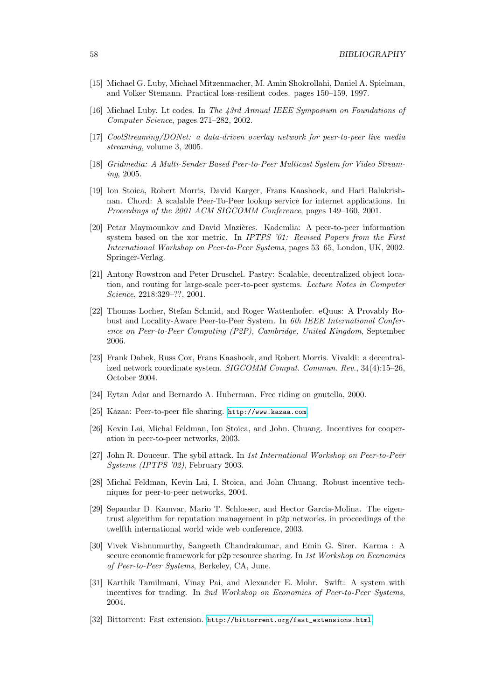- <span id="page-59-0"></span>[15] Michael G. Luby, Michael Mitzenmacher, M. Amin Shokrollahi, Daniel A. Spielman, and Volker Stemann. Practical loss-resilient codes. pages 150–159, 1997.
- <span id="page-59-1"></span>[16] Michael Luby. Lt codes. In The 43rd Annual IEEE Symposium on Foundations of Computer Science, pages 271–282, 2002.
- <span id="page-59-2"></span>[17] CoolStreaming/DONet: a data-driven overlay network for peer-to-peer live media streaming, volume 3, 2005.
- <span id="page-59-3"></span>[18] Gridmedia: A Multi-Sender Based Peer-to-Peer Multicast System for Video Streaming, 2005.
- <span id="page-59-4"></span>[19] Ion Stoica, Robert Morris, David Karger, Frans Kaashoek, and Hari Balakrishnan. Chord: A scalable Peer-To-Peer lookup service for internet applications. In Proceedings of the 2001 ACM SIGCOMM Conference, pages 149–160, 2001.
- <span id="page-59-5"></span>[20] Petar Maymounkov and David Mazières. Kademlia: A peer-to-peer information system based on the xor metric. In *IPTPS* '01: Revised Papers from the First International Workshop on Peer-to-Peer Systems, pages 53–65, London, UK, 2002. Springer-Verlag.
- <span id="page-59-6"></span>[21] Antony Rowstron and Peter Druschel. Pastry: Scalable, decentralized object location, and routing for large-scale peer-to-peer systems. Lecture Notes in Computer Science, 2218:329–??, 2001.
- <span id="page-59-7"></span>[22] Thomas Locher, Stefan Schmid, and Roger Wattenhofer. eQuus: A Provably Robust and Locality-Aware Peer-to-Peer System. In 6th IEEE International Conference on Peer-to-Peer Computing (P2P), Cambridge, United Kingdom, September 2006.
- <span id="page-59-8"></span>[23] Frank Dabek, Russ Cox, Frans Kaashoek, and Robert Morris. Vivaldi: a decentralized network coordinate system. SIGCOMM Comput. Commun. Rev., 34(4):15–26, October 2004.
- <span id="page-59-9"></span>[24] Eytan Adar and Bernardo A. Huberman. Free riding on gnutella, 2000.
- <span id="page-59-10"></span>[25] Kazaa: Peer-to-peer file sharing. <http://www.kazaa.com>.
- <span id="page-59-11"></span>[26] Kevin Lai, Michal Feldman, Ion Stoica, and John. Chuang. Incentives for cooperation in peer-to-peer networks, 2003.
- <span id="page-59-12"></span>[27] John R. Douceur. The sybil attack. In 1st International Workshop on Peer-to-Peer Systems (IPTPS '02), February 2003.
- <span id="page-59-13"></span>[28] Michal Feldman, Kevin Lai, I. Stoica, and John Chuang. Robust incentive techniques for peer-to-peer networks, 2004.
- <span id="page-59-14"></span>[29] Sepandar D. Kamvar, Mario T. Schlosser, and Hector Garcia-Molina. The eigentrust algorithm for reputation management in p2p networks. in proceedings of the twelfth international world wide web conference, 2003.
- <span id="page-59-15"></span>[30] Vivek Vishnumurthy, Sangeeth Chandrakumar, and Emin G. Sirer. Karma : A secure economic framework for p2p resource sharing. In 1st Workshop on Economics of Peer-to-Peer Systems, Berkeley, CA, June.
- <span id="page-59-16"></span>[31] Karthik Tamilmani, Vinay Pai, and Alexander E. Mohr. Swift: A system with incentives for trading. In 2nd Workshop on Economics of Peer-to-Peer Systems, 2004.
- <span id="page-59-17"></span>[32] Bittorrent: Fast extension. [http://bittorrent.org/fast\\_extensions.html](http://bittorrent.org/fast_extensions.html).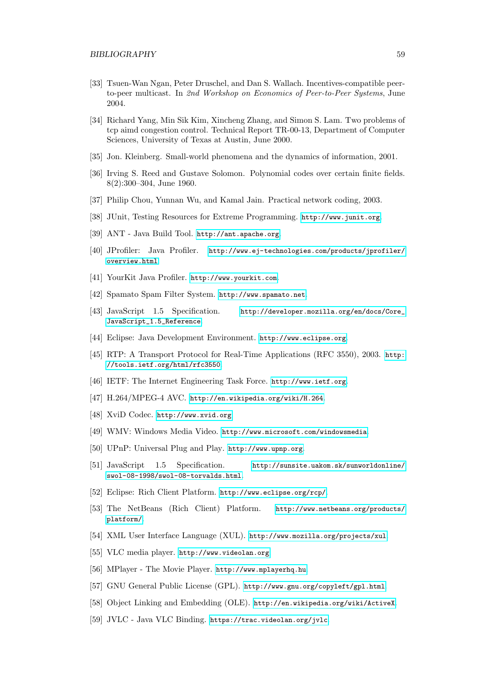- <span id="page-60-0"></span>[33] Tsuen-Wan Ngan, Peter Druschel, and Dan S. Wallach. Incentives-compatible peerto-peer multicast. In 2nd Workshop on Economics of Peer-to-Peer Systems, June 2004.
- <span id="page-60-1"></span>[34] Richard Yang, Min Sik Kim, Xincheng Zhang, and Simon S. Lam. Two problems of tcp aimd congestion control. Technical Report TR-00-13, Department of Computer Sciences, University of Texas at Austin, June 2000.
- <span id="page-60-2"></span>[35] Jon. Kleinberg. Small-world phenomena and the dynamics of information, 2001.
- <span id="page-60-3"></span>[36] Irving S. Reed and Gustave Solomon. Polynomial codes over certain finite fields. 8(2):300–304, June 1960.
- <span id="page-60-4"></span>[37] Philip Chou, Yunnan Wu, and Kamal Jain. Practical network coding, 2003.
- <span id="page-60-5"></span>[38] JUnit, Testing Resources for Extreme Programming. <http://www.junit.org>.
- <span id="page-60-6"></span>[39] ANT - Java Build Tool. <http://ant.apache.org>.
- <span id="page-60-7"></span>[40] JProfiler: Java Profiler. [http://www.ej-technologies.com/products/jprofiler/](http://www.ej-technologies.com/products/jprofiler/overview.html) [overview.html](http://www.ej-technologies.com/products/jprofiler/overview.html).
- <span id="page-60-8"></span>[41] YourKit Java Profiler. <http://www.yourkit.com>.
- <span id="page-60-9"></span>[42] Spamato Spam Filter System. <http://www.spamato.net>.
- <span id="page-60-10"></span>[43] JavaScript 1.5 Specification. [http://developer.mozilla.org/en/docs/Core\\_](http://developer.mozilla.org/en/docs/Core_JavaScript_1.5_Reference) [JavaScript\\_1.5\\_Reference](http://developer.mozilla.org/en/docs/Core_JavaScript_1.5_Reference).
- <span id="page-60-11"></span>[44] Eclipse: Java Development Environment. <http://www.eclipse.org>.
- <span id="page-60-12"></span>[45] RTP: A Transport Protocol for Real-Time Applications (RFC 3550), 2003. [http:](http://tools.ietf.org/html/rfc3550) [//tools.ietf.org/html/rfc3550](http://tools.ietf.org/html/rfc3550).
- <span id="page-60-13"></span>[46] IETF: The Internet Engineering Task Force. <http://www.ietf.org>.
- <span id="page-60-14"></span>[47] H.264/MPEG-4 AVC. <http://en.wikipedia.org/wiki/H.264>.
- <span id="page-60-15"></span>[48] XviD Codec. <http://www.xvid.org>.
- <span id="page-60-16"></span>[49] WMV: Windows Media Video. <http://www.microsoft.com/windowsmedia>.
- <span id="page-60-17"></span>[50] UPnP: Universal Plug and Play. <http://www.upnp.org>.
- <span id="page-60-18"></span>[51] JavaScript 1.5 Specification. [http://sunsite.uakom.sk/sunworldonline/](http://sunsite.uakom.sk/sunworldonline/swol-08-1998/swol-08-torvalds.html) [swol-08-1998/swol-08-torvalds.html](http://sunsite.uakom.sk/sunworldonline/swol-08-1998/swol-08-torvalds.html).
- <span id="page-60-19"></span>[52] Eclipse: Rich Client Platform. <http://www.eclipse.org/rcp/>.
- <span id="page-60-20"></span>[53] The NetBeans (Rich Client) Platform. [http://www.netbeans.org/products/](http://www.netbeans.org/products/platform/) [platform/](http://www.netbeans.org/products/platform/).
- <span id="page-60-21"></span>[54] XML User Interface Language (XUL). <http://www.mozilla.org/projects/xul>.
- <span id="page-60-22"></span>[55] VLC media player. <http://www.videolan.org>.
- <span id="page-60-23"></span>[56] MPlayer - The Movie Player. <http://www.mplayerhq.hu>.
- <span id="page-60-24"></span>[57] GNU General Public License (GPL). <http://www.gnu.org/copyleft/gpl.html>.
- <span id="page-60-25"></span>[58] Object Linking and Embedding (OLE). <http://en.wikipedia.org/wiki/ActiveX>.
- <span id="page-60-26"></span>[59] JVLC - Java VLC Binding. <https://trac.videolan.org/jvlc>.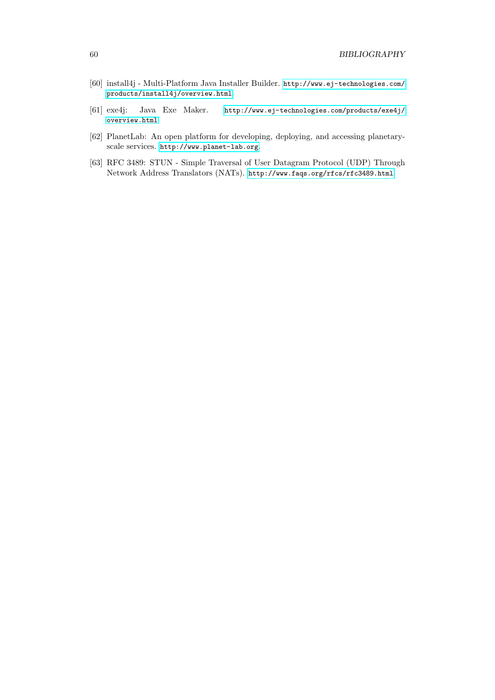- <span id="page-61-0"></span>[60] install4j - Multi-Platform Java Installer Builder. [http://www.ej-technologies.com/](http://www.ej-technologies.com/products/install4j/overview.html) [products/install4j/overview.html](http://www.ej-technologies.com/products/install4j/overview.html).
- <span id="page-61-1"></span>[61] exe4j: Java Exe Maker. [http://www.ej-technologies.com/products/exe4j/](http://www.ej-technologies.com/products/exe4j/overview.html) [overview.html](http://www.ej-technologies.com/products/exe4j/overview.html).
- <span id="page-61-2"></span>[62] PlanetLab: An open platform for developing, deploying, and accessing planetaryscale services. <http://www.planet-lab.org>.
- <span id="page-61-3"></span>[63] RFC 3489: STUN - Simple Traversal of User Datagram Protocol (UDP) Through Network Address Translators (NATs). <http://www.faqs.org/rfcs/rfc3489.html>.